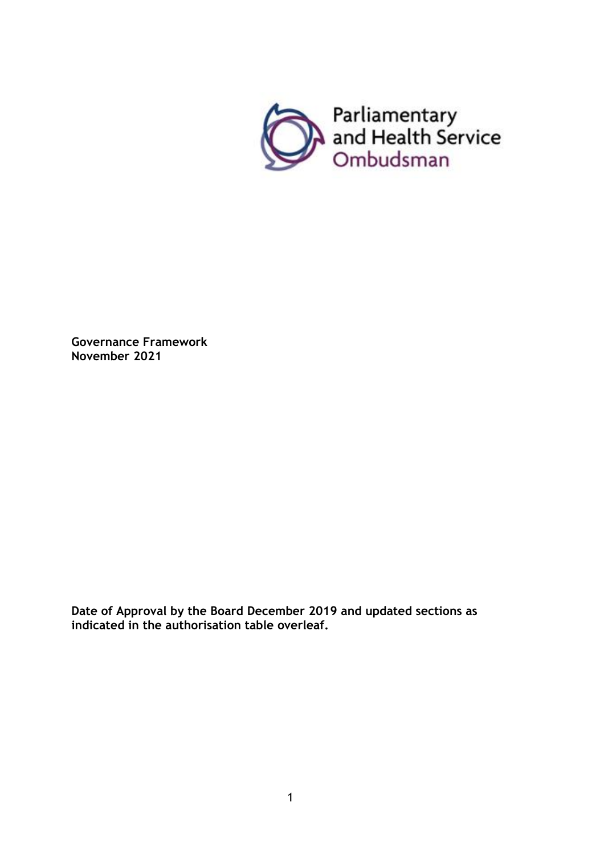

**Governance Framework November 2021**

**Date of Approval by the Board December 2019 and updated sections as indicated in the authorisation table overleaf.**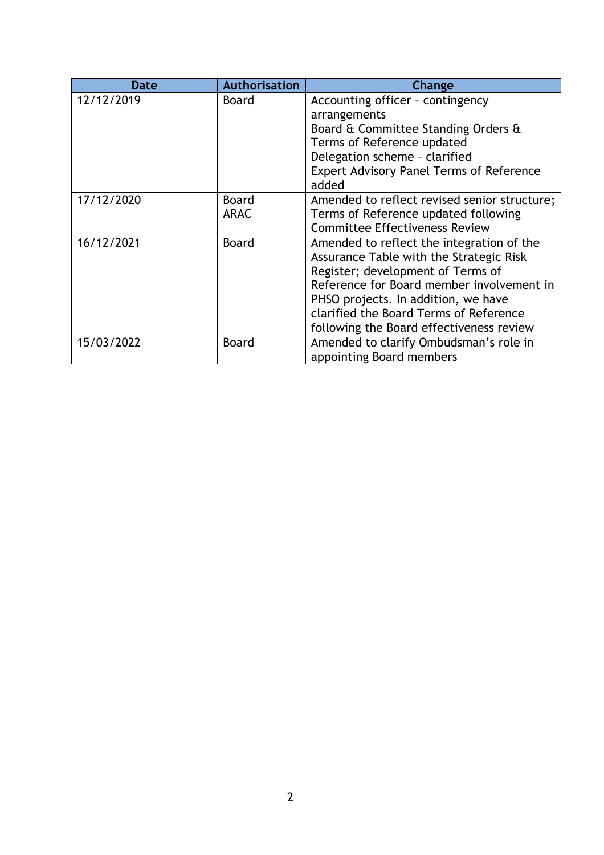| <b>Date</b> | <b>Authorisation</b>        | Change                                                                                                                                                                                                                                                                                              |
|-------------|-----------------------------|-----------------------------------------------------------------------------------------------------------------------------------------------------------------------------------------------------------------------------------------------------------------------------------------------------|
| 12/12/2019  | <b>Board</b>                | Accounting officer - contingency<br>arrangements<br>Board & Committee Standing Orders &<br>Terms of Reference updated                                                                                                                                                                               |
|             |                             | Delegation scheme - clarified<br>Expert Advisory Panel Terms of Reference<br>added                                                                                                                                                                                                                  |
| 17/12/2020  | <b>Board</b><br><b>ARAC</b> | Amended to reflect revised senior structure;<br>Terms of Reference updated following<br><b>Committee Effectiveness Review</b>                                                                                                                                                                       |
| 16/12/2021  | <b>Board</b>                | Amended to reflect the integration of the<br>Assurance Table with the Strategic Risk<br>Register; development of Terms of<br>Reference for Board member involvement in<br>PHSO projects. In addition, we have<br>clarified the Board Terms of Reference<br>following the Board effectiveness review |
| 15/03/2022  | <b>Board</b>                | Amended to clarify Ombudsman's role in<br>appointing Board members                                                                                                                                                                                                                                  |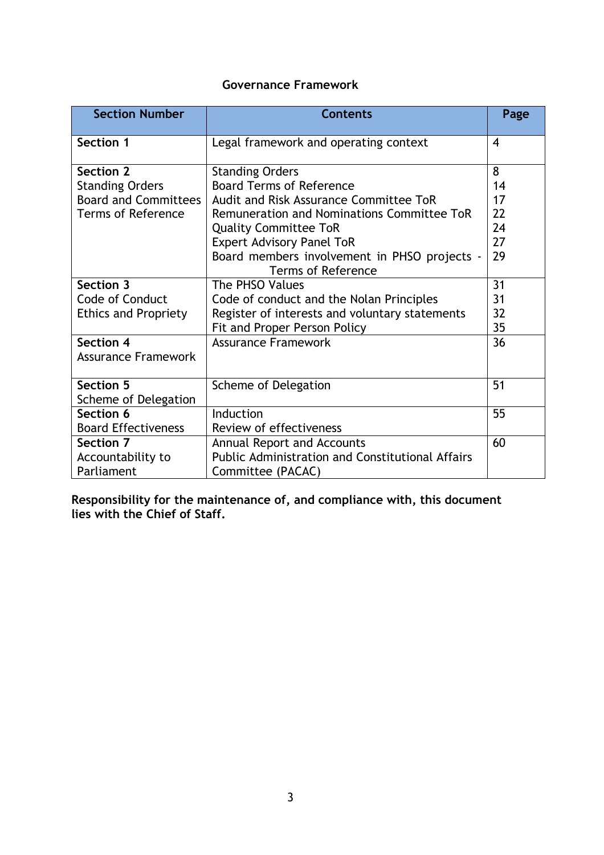# **Governance Framework**

| <b>Section Number</b>       | <b>Contents</b>                                         | Page |
|-----------------------------|---------------------------------------------------------|------|
| Section 1                   | Legal framework and operating context                   | 4    |
| Section 2                   | <b>Standing Orders</b>                                  | 8    |
| <b>Standing Orders</b>      | <b>Board Terms of Reference</b>                         | 14   |
| <b>Board and Committees</b> | Audit and Risk Assurance Committee ToR                  | 17   |
| <b>Terms of Reference</b>   | Remuneration and Nominations Committee ToR              | 22   |
|                             | <b>Quality Committee ToR</b>                            | 24   |
|                             | <b>Expert Advisory Panel ToR</b>                        | 27   |
|                             | Board members involvement in PHSO projects -            | 29   |
|                             | <b>Terms of Reference</b>                               |      |
| Section 3                   | The PHSO Values                                         | 31   |
| Code of Conduct             | Code of conduct and the Nolan Principles                | 31   |
| <b>Ethics and Propriety</b> | Register of interests and voluntary statements          | 32   |
|                             | Fit and Proper Person Policy                            | 35   |
| <b>Section 4</b>            | <b>Assurance Framework</b>                              | 36   |
| <b>Assurance Framework</b>  |                                                         |      |
| <b>Section 5</b>            | Scheme of Delegation                                    | 51   |
| Scheme of Delegation        |                                                         |      |
| Section 6                   | Induction                                               | 55   |
| <b>Board Effectiveness</b>  | Review of effectiveness                                 |      |
| Section 7                   | <b>Annual Report and Accounts</b>                       | 60   |
| Accountability to           | <b>Public Administration and Constitutional Affairs</b> |      |
| Parliament                  | Committee (PACAC)                                       |      |

**Responsibility for the maintenance of, and compliance with, this document lies with the Chief of Staff.**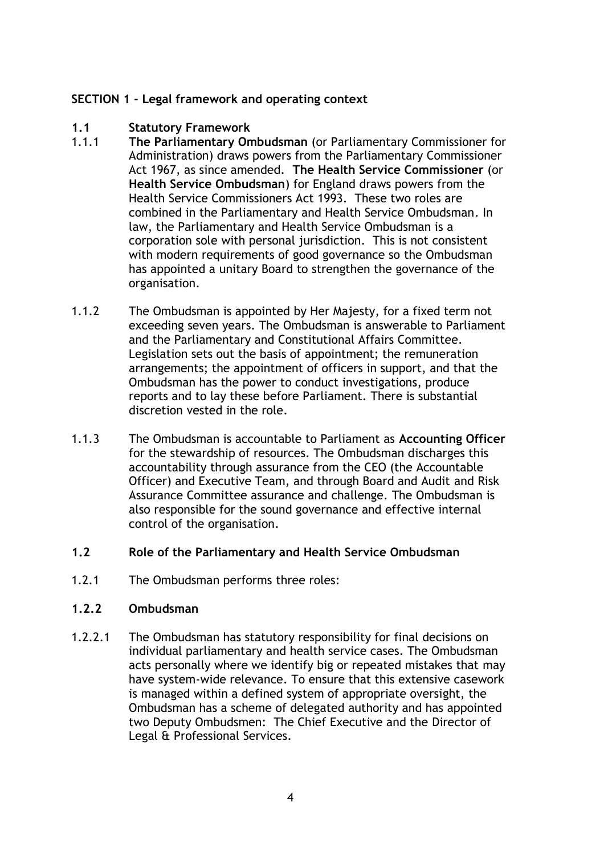#### **SECTION 1 - Legal framework and operating context**

# **1.1 Statutory Framework**

- 1.1.1 **The Parliamentary Ombudsman** (or Parliamentary Commissioner for Administration) draws powers from the Parliamentary Commissioner Act 1967, as since amended. **The Health Service Commissioner** (or **Health Service Ombudsman**) for England draws powers from the Health Service Commissioners Act 1993. These two roles are combined in the Parliamentary and Health Service Ombudsman. In law, the Parliamentary and Health Service Ombudsman is a corporation sole with personal jurisdiction. This is not consistent with modern requirements of good governance so the Ombudsman has appointed a unitary Board to strengthen the governance of the organisation.
- 1.1.2 The Ombudsman is appointed by Her Majesty, for a fixed term not exceeding seven years. The Ombudsman is answerable to Parliament and the Parliamentary and Constitutional Affairs Committee. Legislation sets out the basis of appointment; the remuneration arrangements; the appointment of officers in support, and that the Ombudsman has the power to conduct investigations, produce reports and to lay these before Parliament. There is substantial discretion vested in the role.
- 1.1.3 The Ombudsman is accountable to Parliament as **Accounting Officer** for the stewardship of resources. The Ombudsman discharges this accountability through assurance from the CEO (the Accountable Officer) and Executive Team, and through Board and Audit and Risk Assurance Committee assurance and challenge. The Ombudsman is also responsible for the sound governance and effective internal control of the organisation.

#### **1.2 Role of the Parliamentary and Health Service Ombudsman**

1.2.1 The Ombudsman performs three roles:

#### **1.2.2 Ombudsman**

1.2.2.1 The Ombudsman has statutory responsibility for final decisions on individual parliamentary and health service cases. The Ombudsman acts personally where we identify big or repeated mistakes that may have system-wide relevance. To ensure that this extensive casework is managed within a defined system of appropriate oversight, the Ombudsman has a scheme of delegated authority and has appointed two Deputy Ombudsmen: The Chief Executive and the Director of Legal & Professional Services.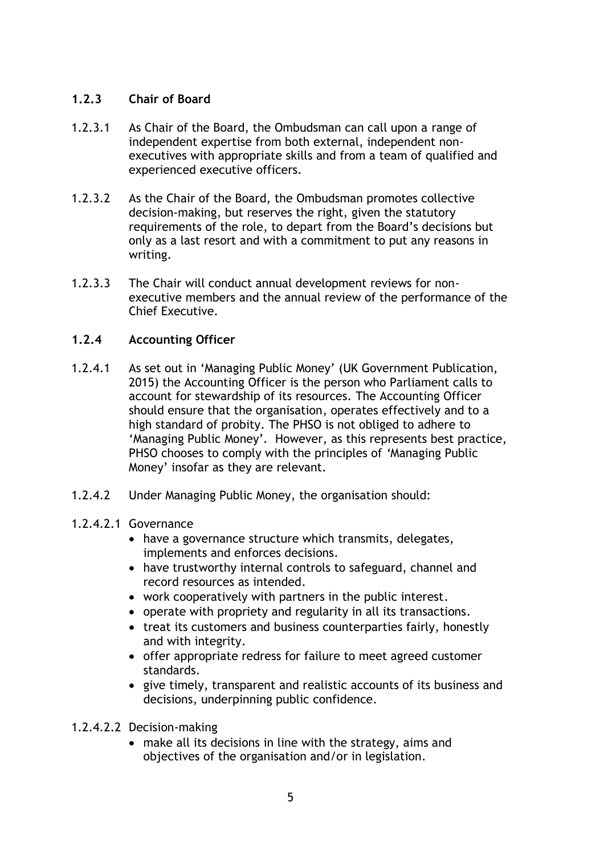## **1.2.3 Chair of Board**

- 1.2.3.1 As Chair of the Board, the Ombudsman can call upon a range of independent expertise from both external, independent nonexecutives with appropriate skills and from a team of qualified and experienced executive officers.
- 1.2.3.2 As the Chair of the Board, the Ombudsman promotes collective decision-making, but reserves the right, given the statutory requirements of the role, to depart from the Board's decisions but only as a last resort and with a commitment to put any reasons in writing.
- 1.2.3.3 The Chair will conduct annual development reviews for nonexecutive members and the annual review of the performance of the Chief Executive.

## **1.2.4 Accounting Officer**

- 1.2.4.1 As set out in 'Managing Public Money' (UK Government Publication, 2015) the Accounting Officer is the person who Parliament calls to account for stewardship of its resources. The Accounting Officer should ensure that the organisation, operates effectively and to a high standard of probity. The PHSO is not obliged to adhere to 'Managing Public Money'*.* However, as this represents best practice, PHSO chooses to comply with the principles of *'*Managing Public Money' insofar as they are relevant.
- 1.2.4.2 Under Managing Public Money, the organisation should:

## 1.2.4.2.1 Governance

- have a governance structure which transmits, delegates, implements and enforces decisions.
- have trustworthy internal controls to safeguard, channel and record resources as intended.
- work cooperatively with partners in the public interest.
- operate with propriety and regularity in all its transactions.
- treat its customers and business counterparties fairly, honestly and with integrity.
- offer appropriate redress for failure to meet agreed customer standards.
- give timely, transparent and realistic accounts of its business and decisions, underpinning public confidence.
- 1.2.4.2.2 Decision-making
	- make all its decisions in line with the strategy, aims and objectives of the organisation and/or in legislation.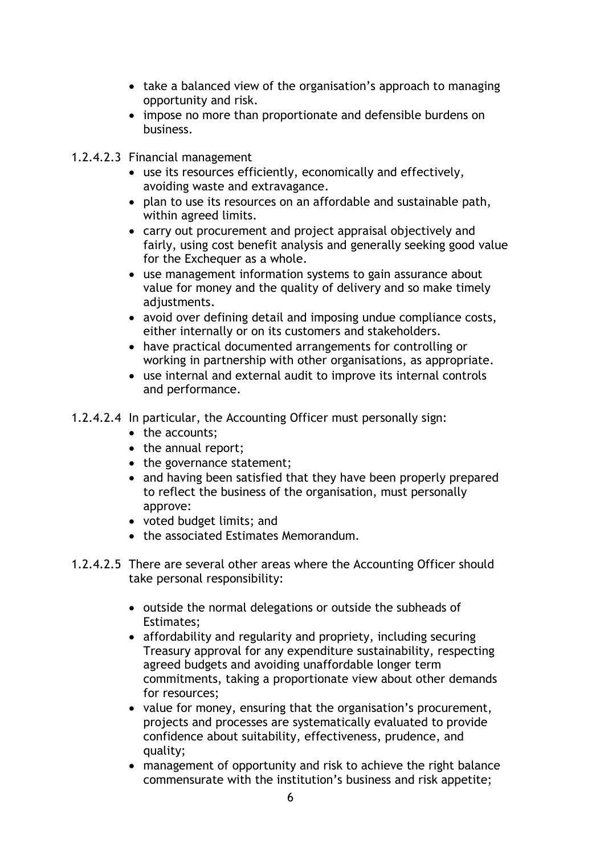- take a balanced view of the organisation's approach to managing opportunity and risk.
- impose no more than proportionate and defensible burdens on business.
- 1.2.4.2.3 Financial management
	- use its resources efficiently, economically and effectively, avoiding waste and extravagance.
	- plan to use its resources on an affordable and sustainable path, within agreed limits.
	- carry out procurement and project appraisal objectively and fairly, using cost benefit analysis and generally seeking good value for the Exchequer as a whole.
	- use management information systems to gain assurance about value for money and the quality of delivery and so make timely adjustments.
	- avoid over defining detail and imposing undue compliance costs, either internally or on its customers and stakeholders.
	- have practical documented arrangements for controlling or working in partnership with other organisations, as appropriate.
	- use internal and external audit to improve its internal controls and performance.
- 1.2.4.2.4 In particular, the Accounting Officer must personally sign:
	- the accounts;
	- the annual report;
	- the governance statement;
	- and having been satisfied that they have been properly prepared to reflect the business of the organisation, must personally approve:
	- voted budget limits; and
	- the associated Estimates Memorandum.
- 1.2.4.2.5 There are several other areas where the Accounting Officer should take personal responsibility:
	- outside the normal delegations or outside the subheads of Estimates;
	- affordability and regularity and propriety, including securing Treasury approval for any expenditure sustainability, respecting agreed budgets and avoiding unaffordable longer term commitments, taking a proportionate view about other demands for resources;
	- value for money, ensuring that the organisation's procurement, projects and processes are systematically evaluated to provide confidence about suitability, effectiveness, prudence, and quality;
	- management of opportunity and risk to achieve the right balance commensurate with the institution's business and risk appetite;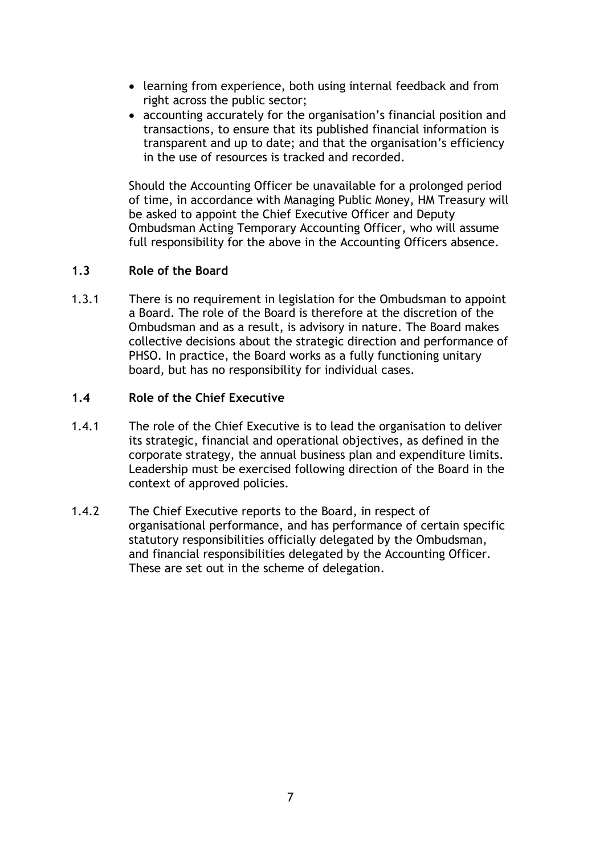- learning from experience, both using internal feedback and from right across the public sector;
- accounting accurately for the organisation's financial position and transactions, to ensure that its published financial information is transparent and up to date; and that the organisation's efficiency in the use of resources is tracked and recorded.

Should the Accounting Officer be unavailable for a prolonged period of time, in accordance with Managing Public Money, HM Treasury will be asked to appoint the Chief Executive Officer and Deputy Ombudsman Acting Temporary Accounting Officer, who will assume full responsibility for the above in the Accounting Officers absence.

## **1.3 Role of the Board**

1.3.1 There is no requirement in legislation for the Ombudsman to appoint a Board. The role of the Board is therefore at the discretion of the Ombudsman and as a result, is advisory in nature. The Board makes collective decisions about the strategic direction and performance of PHSO. In practice, the Board works as a fully functioning unitary board, but has no responsibility for individual cases.

#### **1.4 Role of the Chief Executive**

- 1.4.1 The role of the Chief Executive is to lead the organisation to deliver its strategic, financial and operational objectives, as defined in the corporate strategy, the annual business plan and expenditure limits. Leadership must be exercised following direction of the Board in the context of approved policies.
- 1.4.2 The Chief Executive reports to the Board, in respect of organisational performance, and has performance of certain specific statutory responsibilities officially delegated by the Ombudsman, and financial responsibilities delegated by the Accounting Officer. These are set out in the scheme of delegation.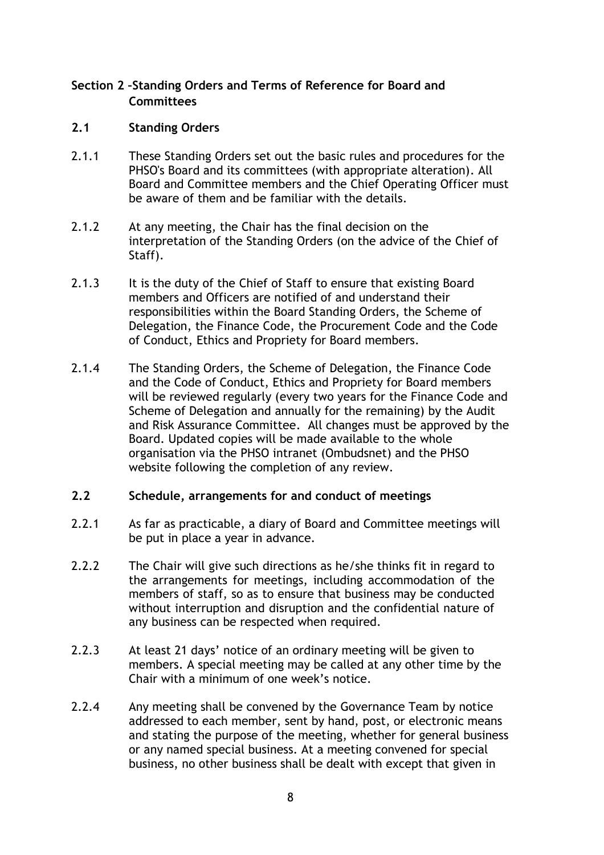#### **Section 2 –Standing Orders and Terms of Reference for Board and Committees**

#### **2.1 Standing Orders**

- 2.1.1 These Standing Orders set out the basic rules and procedures for the PHSO's Board and its committees (with appropriate alteration). All Board and Committee members and the Chief Operating Officer must be aware of them and be familiar with the details.
- 2.1.2 At any meeting, the Chair has the final decision on the interpretation of the Standing Orders (on the advice of the Chief of Staff).
- 2.1.3 It is the duty of the Chief of Staff to ensure that existing Board members and Officers are notified of and understand their responsibilities within the Board Standing Orders, the Scheme of Delegation, the Finance Code, the Procurement Code and the Code of Conduct, Ethics and Propriety for Board members.
- 2.1.4 The Standing Orders, the Scheme of Delegation, the Finance Code and the Code of Conduct, Ethics and Propriety for Board members will be reviewed regularly (every two years for the Finance Code and Scheme of Delegation and annually for the remaining) by the Audit and Risk Assurance Committee. All changes must be approved by the Board. Updated copies will be made available to the whole organisation via the PHSO intranet (Ombudsnet) and the PHSO website following the completion of any review.

#### **2.2 Schedule, arrangements for and conduct of meetings**

- 2.2.1 As far as practicable, a diary of Board and Committee meetings will be put in place a year in advance.
- 2.2.2 The Chair will give such directions as he/she thinks fit in regard to the arrangements for meetings, including accommodation of the members of staff, so as to ensure that business may be conducted without interruption and disruption and the confidential nature of any business can be respected when required.
- 2.2.3 At least 21 days' notice of an ordinary meeting will be given to members. A special meeting may be called at any other time by the Chair with a minimum of one week's notice.
- 2.2.4 Any meeting shall be convened by the Governance Team by notice addressed to each member, sent by hand, post, or electronic means and stating the purpose of the meeting, whether for general business or any named special business. At a meeting convened for special business, no other business shall be dealt with except that given in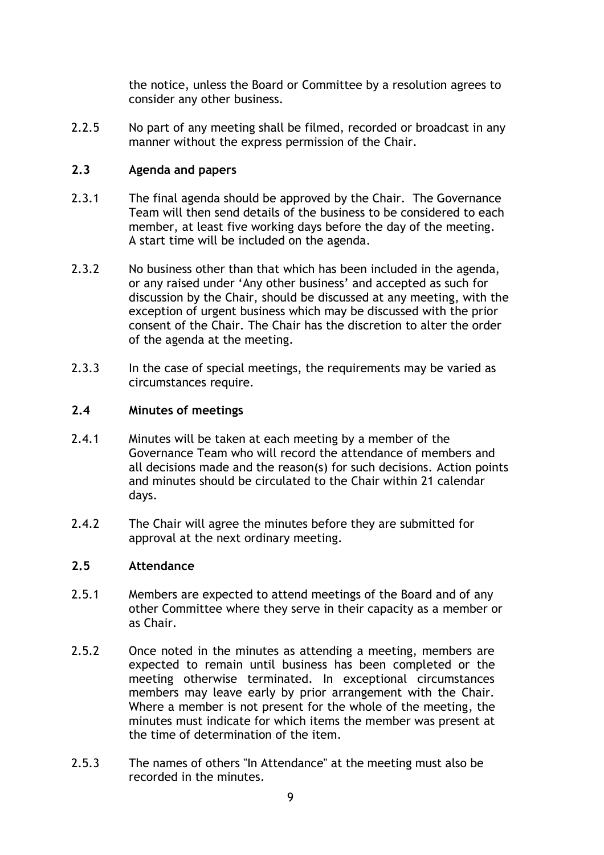the notice, unless the Board or Committee by a resolution agrees to consider any other business.

2.2.5 No part of any meeting shall be filmed, recorded or broadcast in any manner without the express permission of the Chair.

## **2.3 Agenda and papers**

- 2.3.1 The final agenda should be approved by the Chair. The Governance Team will then send details of the business to be considered to each member, at least five working days before the day of the meeting. A start time will be included on the agenda.
- 2.3.2 No business other than that which has been included in the agenda, or any raised under 'Any other business' and accepted as such for discussion by the Chair, should be discussed at any meeting, with the exception of urgent business which may be discussed with the prior consent of the Chair. The Chair has the discretion to alter the order of the agenda at the meeting.
- 2.3.3 In the case of special meetings, the requirements may be varied as circumstances require.

## **2.4 Minutes of meetings**

- 2.4.1 Minutes will be taken at each meeting by a member of the Governance Team who will record the attendance of members and all decisions made and the reason(s) for such decisions. Action points and minutes should be circulated to the Chair within 21 calendar days.
- 2.4.2 The Chair will agree the minutes before they are submitted for approval at the next ordinary meeting.

#### **2.5 Attendance**

- 2.5.1 Members are expected to attend meetings of the Board and of any other Committee where they serve in their capacity as a member or as Chair.
- 2.5.2 Once noted in the minutes as attending a meeting, members are expected to remain until business has been completed or the meeting otherwise terminated. In exceptional circumstances members may leave early by prior arrangement with the Chair. Where a member is not present for the whole of the meeting, the minutes must indicate for which items the member was present at the time of determination of the item.
- 2.5.3 The names of others "In Attendance" at the meeting must also be recorded in the minutes.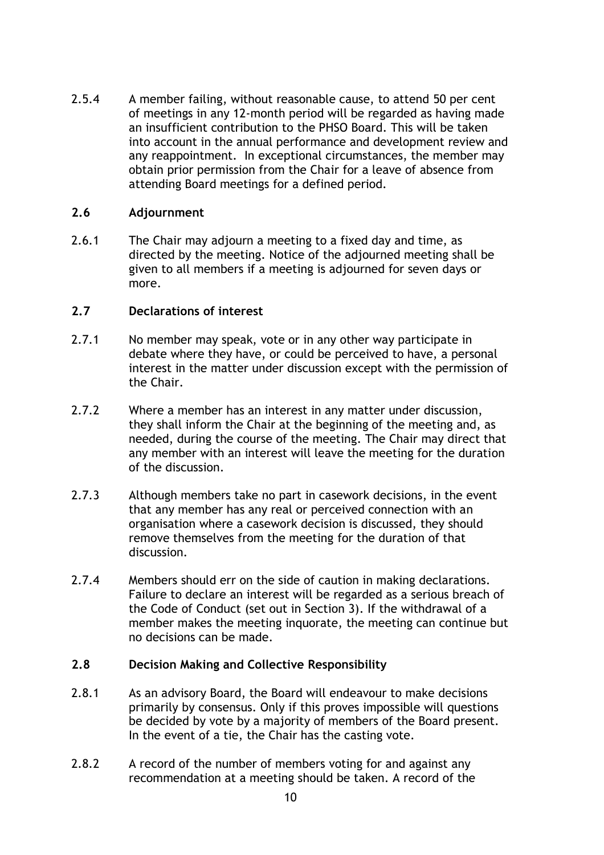2.5.4 A member failing, without reasonable cause, to attend 50 per cent of meetings in any 12-month period will be regarded as having made an insufficient contribution to the PHSO Board. This will be taken into account in the annual performance and development review and any reappointment. In exceptional circumstances, the member may obtain prior permission from the Chair for a leave of absence from attending Board meetings for a defined period.

#### **2.6 Adjournment**

2.6.1 The Chair may adjourn a meeting to a fixed day and time, as directed by the meeting. Notice of the adjourned meeting shall be given to all members if a meeting is adjourned for seven days or more.

#### **2.7 Declarations of interest**

- 2.7.1 No member may speak, vote or in any other way participate in debate where they have, or could be perceived to have, a personal interest in the matter under discussion except with the permission of the Chair.
- 2.7.2 Where a member has an interest in any matter under discussion, they shall inform the Chair at the beginning of the meeting and, as needed, during the course of the meeting. The Chair may direct that any member with an interest will leave the meeting for the duration of the discussion.
- 2.7.3 Although members take no part in casework decisions, in the event that any member has any real or perceived connection with an organisation where a casework decision is discussed, they should remove themselves from the meeting for the duration of that discussion.
- 2.7.4 Members should err on the side of caution in making declarations. Failure to declare an interest will be regarded as a serious breach of the Code of Conduct (set out in Section 3). If the withdrawal of a member makes the meeting inquorate, the meeting can continue but no decisions can be made.

#### **2.8 Decision Making and Collective Responsibility**

- 2.8.1 As an advisory Board, the Board will endeavour to make decisions primarily by consensus. Only if this proves impossible will questions be decided by vote by a majority of members of the Board present. In the event of a tie, the Chair has the casting vote.
- 2.8.2 A record of the number of members voting for and against any recommendation at a meeting should be taken. A record of the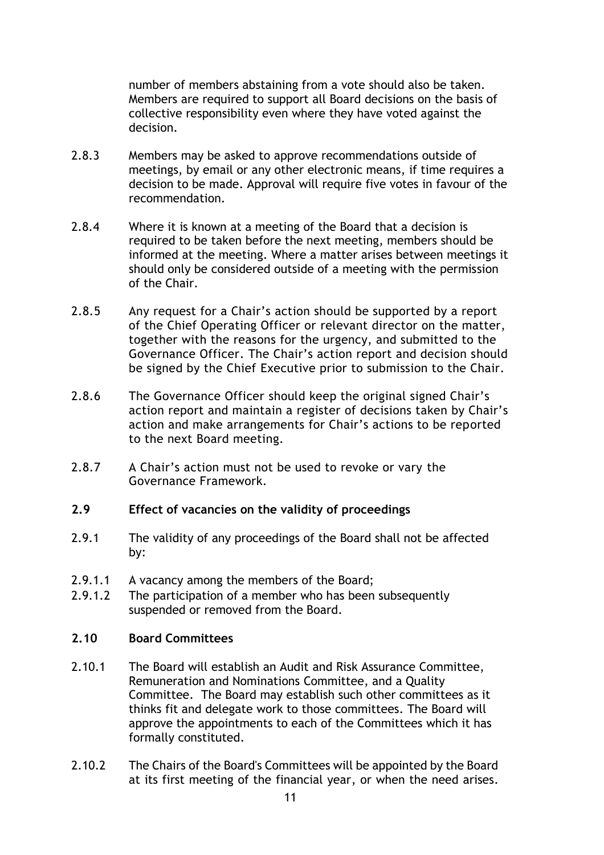number of members abstaining from a vote should also be taken. Members are required to support all Board decisions on the basis of collective responsibility even where they have voted against the decision.

- 2.8.3 Members may be asked to approve recommendations outside of meetings, by email or any other electronic means, if time requires a decision to be made. Approval will require five votes in favour of the recommendation.
- 2.8.4 Where it is known at a meeting of the Board that a decision is required to be taken before the next meeting, members should be informed at the meeting. Where a matter arises between meetings it should only be considered outside of a meeting with the permission of the Chair.
- 2.8.5 Any request for a Chair's action should be supported by a report of the Chief Operating Officer or relevant director on the matter, together with the reasons for the urgency, and submitted to the Governance Officer. The Chair's action report and decision should be signed by the Chief Executive prior to submission to the Chair.
- 2.8.6 The Governance Officer should keep the original signed Chair's action report and maintain a register of decisions taken by Chair's action and make arrangements for Chair's actions to be reported to the next Board meeting.
- 2.8.7 A Chair's action must not be used to revoke or vary the Governance Framework.

#### **2.9 Effect of vacancies on the validity of proceedings**

- 2.9.1 The validity of any proceedings of the Board shall not be affected by:
- 2.9.1.1 A vacancy among the members of the Board;
- 2.9.1.2 The participation of a member who has been subsequently suspended or removed from the Board.

#### **2.10 Board Committees**

- 2.10.1 The Board will establish an Audit and Risk Assurance Committee, Remuneration and Nominations Committee, and a Quality Committee. The Board may establish such other committees as it thinks fit and delegate work to those committees. The Board will approve the appointments to each of the Committees which it has formally constituted.
- 2.10.2 The Chairs of the Board's Committees will be appointed by the Board at its first meeting of the financial year, or when the need arises.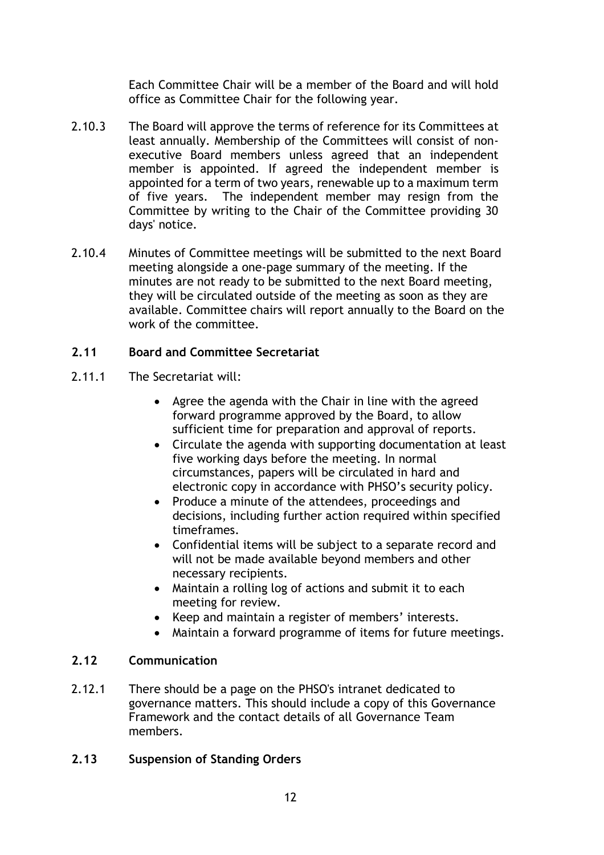Each Committee Chair will be a member of the Board and will hold office as Committee Chair for the following year.

- 2.10.3 The Board will approve the terms of reference for its Committees at least annually. Membership of the Committees will consist of nonexecutive Board members unless agreed that an independent member is appointed. If agreed the independent member is appointed for a term of two years, renewable up to a maximum term of five years. The independent member may resign from the Committee by writing to the Chair of the Committee providing 30 days' notice.
- 2.10.4 Minutes of Committee meetings will be submitted to the next Board meeting alongside a one-page summary of the meeting. If the minutes are not ready to be submitted to the next Board meeting, they will be circulated outside of the meeting as soon as they are available. Committee chairs will report annually to the Board on the work of the committee.

## **2.11 Board and Committee Secretariat**

- 2.11.1 The Secretariat will:
	- Agree the agenda with the Chair in line with the agreed forward programme approved by the Board, to allow sufficient time for preparation and approval of reports.
	- Circulate the agenda with supporting documentation at least five working days before the meeting. In normal circumstances, papers will be circulated in hard and electronic copy in accordance with PHSO's security policy.
	- Produce a minute of the attendees, proceedings and decisions, including further action required within specified timeframes.
	- Confidential items will be subject to a separate record and will not be made available beyond members and other necessary recipients.
	- Maintain a rolling log of actions and submit it to each meeting for review.
	- Keep and maintain a register of members' interests.
	- Maintain a forward programme of items for future meetings.

## **2.12 Communication**

2.12.1 There should be a page on the PHSO's intranet dedicated to governance matters. This should include a copy of this Governance Framework and the contact details of all Governance Team members.

## **2.13 Suspension of Standing Orders**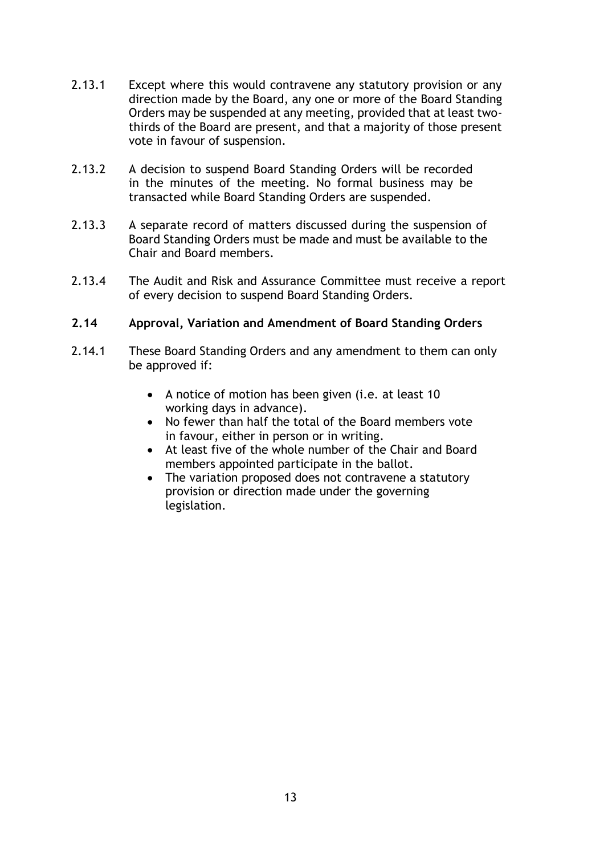- 2.13.1 Except where this would contravene any statutory provision or any direction made by the Board, any one or more of the Board Standing Orders may be suspended at any meeting, provided that at least twothirds of the Board are present, and that a majority of those present vote in favour of suspension.
- 2.13.2 A decision to suspend Board Standing Orders will be recorded in the minutes of the meeting. No formal business may be transacted while Board Standing Orders are suspended.
- 2.13.3 A separate record of matters discussed during the suspension of Board Standing Orders must be made and must be available to the Chair and Board members.
- 2.13.4 The Audit and Risk and Assurance Committee must receive a report of every decision to suspend Board Standing Orders.

#### **2.14 Approval, Variation and Amendment of Board Standing Orders**

- 2.14.1 These Board Standing Orders and any amendment to them can only be approved if:
	- A notice of motion has been given (i.e. at least 10 working days in advance).
	- No fewer than half the total of the Board members vote in favour, either in person or in writing.
	- At least five of the whole number of the Chair and Board members appointed participate in the ballot.
	- The variation proposed does not contravene a statutory provision or direction made under the governing legislation.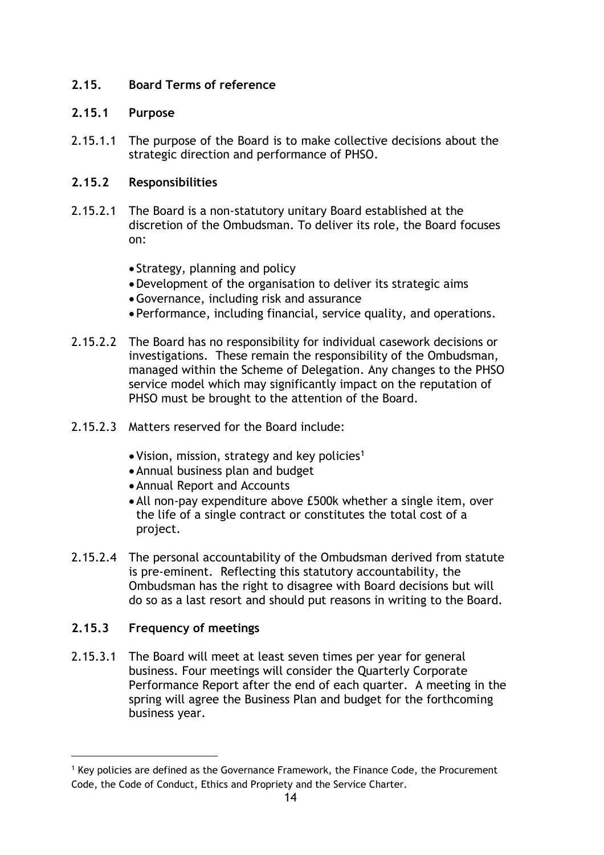## **2.15. Board Terms of reference**

## **2.15.1 Purpose**

2.15.1.1 The purpose of the Board is to make collective decisions about the strategic direction and performance of PHSO.

## **2.15.2 Responsibilities**

- 2.15.2.1 The Board is a non-statutory unitary Board established at the discretion of the Ombudsman. To deliver its role, the Board focuses on:
	- Strategy, planning and policy
	- •Development of the organisation to deliver its strategic aims
	- •Governance, including risk and assurance
	- Performance, including financial, service quality, and operations.
- 2.15.2.2 The Board has no responsibility for individual casework decisions or investigations. These remain the responsibility of the Ombudsman, managed within the Scheme of Delegation. Any changes to the PHSO service model which may significantly impact on the reputation of PHSO must be brought to the attention of the Board.
- 2.15.2.3 Matters reserved for the Board include:
	- Vision, mission, strategy and key policies<sup>1</sup>
	- •Annual business plan and budget
	- •Annual Report and Accounts
	- •All non-pay expenditure above £500k whether a single item, over the life of a single contract or constitutes the total cost of a project.
- 2.15.2.4 The personal accountability of the Ombudsman derived from statute is pre-eminent. Reflecting this statutory accountability, the Ombudsman has the right to disagree with Board decisions but will do so as a last resort and should put reasons in writing to the Board.

# **2.15.3 Frequency of meetings**

2.15.3.1 The Board will meet at least seven times per year for general business. Four meetings will consider the Quarterly Corporate Performance Report after the end of each quarter. A meeting in the spring will agree the Business Plan and budget for the forthcoming business year.

<sup>&</sup>lt;sup>1</sup> Key policies are defined as the Governance Framework, the Finance Code, the Procurement Code, the Code of Conduct, Ethics and Propriety and the Service Charter.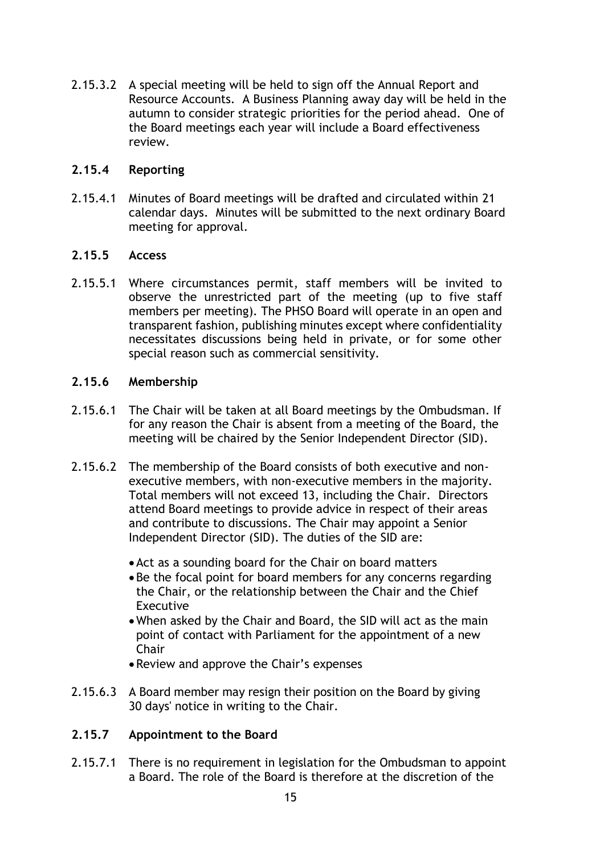2.15.3.2 A special meeting will be held to sign off the Annual Report and Resource Accounts. A Business Planning away day will be held in the autumn to consider strategic priorities for the period ahead. One of the Board meetings each year will include a Board effectiveness review.

#### **2.15.4 Reporting**

2.15.4.1 Minutes of Board meetings will be drafted and circulated within 21 calendar days. Minutes will be submitted to the next ordinary Board meeting for approval.

#### **2.15.5 Access**

2.15.5.1 Where circumstances permit, staff members will be invited to observe the unrestricted part of the meeting (up to five staff members per meeting). The PHSO Board will operate in an open and transparent fashion, publishing minutes except where confidentiality necessitates discussions being held in private, or for some other special reason such as commercial sensitivity.

#### **2.15.6 Membership**

- 2.15.6.1 The Chair will be taken at all Board meetings by the Ombudsman. If for any reason the Chair is absent from a meeting of the Board, the meeting will be chaired by the Senior Independent Director (SID).
- 2.15.6.2 The membership of the Board consists of both executive and nonexecutive members, with non-executive members in the majority. Total members will not exceed 13, including the Chair. Directors attend Board meetings to provide advice in respect of their areas and contribute to discussions. The Chair may appoint a Senior Independent Director (SID). The duties of the SID are:
	- •Act as a sounding board for the Chair on board matters
	- •Be the focal point for board members for any concerns regarding the Chair, or the relationship between the Chair and the Chief Executive
	- •When asked by the Chair and Board, the SID will act as the main point of contact with Parliament for the appointment of a new Chair
	- •Review and approve the Chair's expenses
- 2.15.6.3 A Board member may resign their position on the Board by giving 30 days' notice in writing to the Chair.

## **2.15.7 Appointment to the Board**

2.15.7.1 There is no requirement in legislation for the Ombudsman to appoint a Board. The role of the Board is therefore at the discretion of the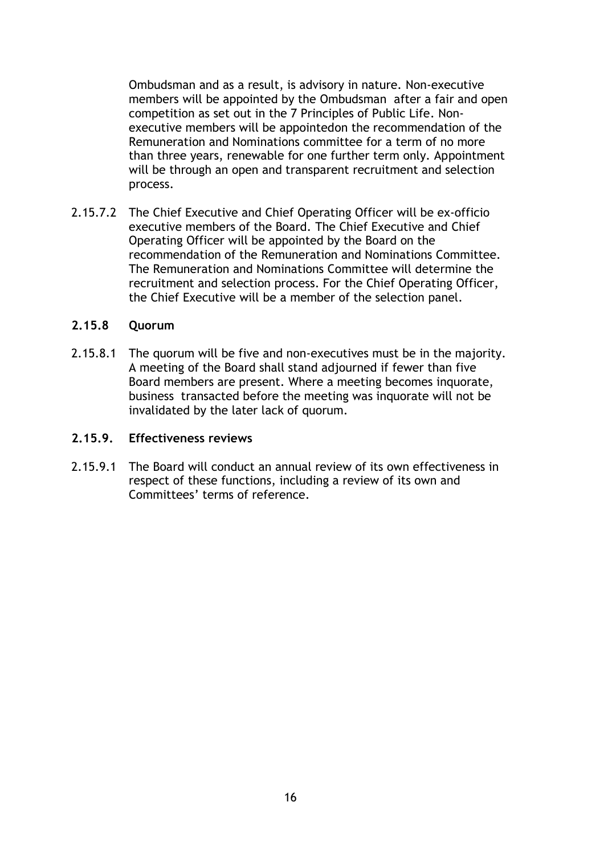Ombudsman and as a result, is advisory in nature. Non-executive members will be appointed by the Ombudsman after a fair and open competition as set out in the 7 Principles of Public Life. Nonexecutive members will be appointedon the recommendation of the Remuneration and Nominations committee for a term of no more than three years, renewable for one further term only. Appointment will be through an open and transparent recruitment and selection process.

2.15.7.2 The Chief Executive and Chief Operating Officer will be ex-officio executive members of the Board. The Chief Executive and Chief Operating Officer will be appointed by the Board on the recommendation of the Remuneration and Nominations Committee. The Remuneration and Nominations Committee will determine the recruitment and selection process. For the Chief Operating Officer, the Chief Executive will be a member of the selection panel.

#### **2.15.8 Quorum**

2.15.8.1 The quorum will be five and non-executives must be in the majority. A meeting of the Board shall stand adjourned if fewer than five Board members are present. Where a meeting becomes inquorate, business transacted before the meeting was inquorate will not be invalidated by the later lack of quorum.

#### **2.15.9. Effectiveness reviews**

2.15.9.1 The Board will conduct an annual review of its own effectiveness in respect of these functions, including a review of its own and Committees' terms of reference.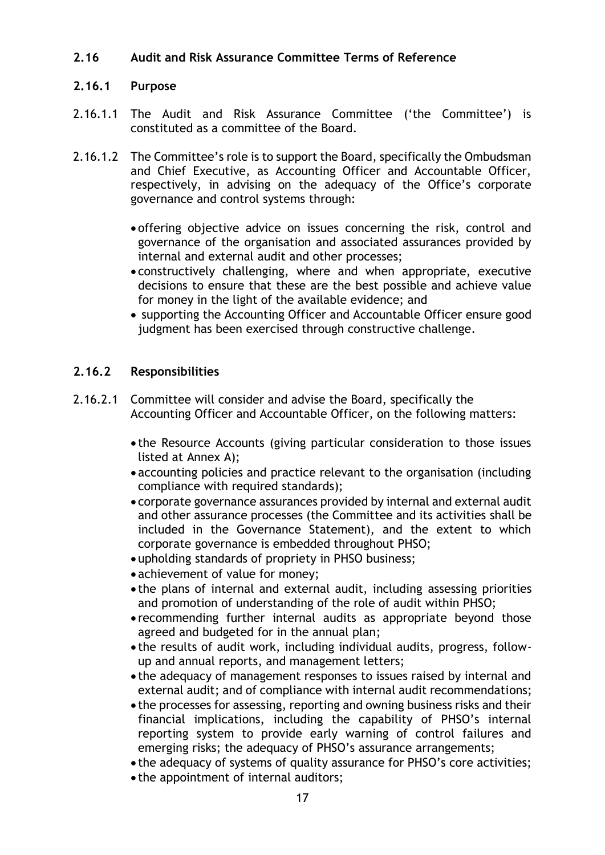#### **2.16 Audit and Risk Assurance Committee Terms of Reference**

#### **2.16.1 Purpose**

- 2.16.1.1 The Audit and Risk Assurance Committee ('the Committee') is constituted as a committee of the Board.
- 2.16.1.2 The Committee's role is to support the Board, specifically the Ombudsman and Chief Executive, as Accounting Officer and Accountable Officer, respectively, in advising on the adequacy of the Office's corporate governance and control systems through:
	- offering objective advice on issues concerning the risk, control and governance of the organisation and associated assurances provided by internal and external audit and other processes;
	- constructively challenging, where and when appropriate, executive decisions to ensure that these are the best possible and achieve value for money in the light of the available evidence; and
	- supporting the Accounting Officer and Accountable Officer ensure good judgment has been exercised through constructive challenge.

#### **2.16.2 Responsibilities**

- 2.16.2.1 Committee will consider and advise the Board, specifically the Accounting Officer and Accountable Officer, on the following matters:
	- the Resource Accounts (giving particular consideration to those issues listed at Annex A);
	- accounting policies and practice relevant to the organisation (including compliance with required standards);
	- corporate governance assurances provided by internal and external audit and other assurance processes (the Committee and its activities shall be included in the Governance Statement), and the extent to which corporate governance is embedded throughout PHSO;
	- upholding standards of propriety in PHSO business;
	- achievement of value for money;
	- the plans of internal and external audit, including assessing priorities and promotion of understanding of the role of audit within PHSO;
	- recommending further internal audits as appropriate beyond those agreed and budgeted for in the annual plan;
	- the results of audit work, including individual audits, progress, followup and annual reports, and management letters;
	- the adequacy of management responses to issues raised by internal and external audit; and of compliance with internal audit recommendations;
	- the processes for assessing, reporting and owning business risks and their financial implications, including the capability of PHSO's internal reporting system to provide early warning of control failures and emerging risks; the adequacy of PHSO's assurance arrangements;
	- the adequacy of systems of quality assurance for PHSO's core activities;
	- the appointment of internal auditors;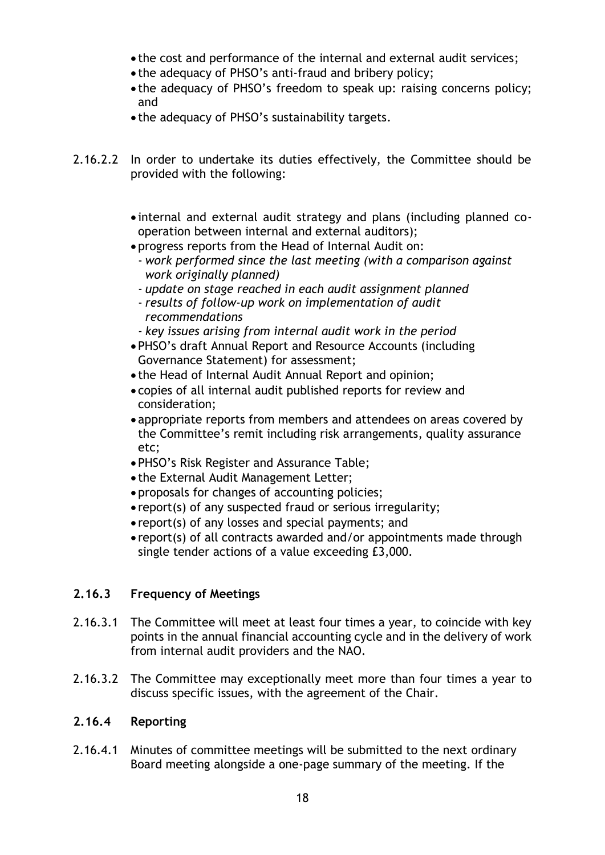- the cost and performance of the internal and external audit services;
- the adequacy of PHSO's anti-fraud and bribery policy;
- the adequacy of PHSO's freedom to speak up: raising concerns policy; and
- the adequacy of PHSO's sustainability targets.
- 2.16.2.2 In order to undertake its duties effectively, the Committee should be provided with the following:
	- internal and external audit strategy and plans (including planned cooperation between internal and external auditors);
	- progress reports from the Head of Internal Audit on:
	- *work performed since the last meeting (with a comparison against work originally planned)*
	- *update on stage reached in each audit assignment planned*
	- *results of follow-up work on implementation of audit recommendations*
	- *key issues arising from internal audit work in the period*
	- PHSO's draft Annual Report and Resource Accounts (including Governance Statement) for assessment;
	- the Head of Internal Audit Annual Report and opinion;
	- copies of all internal audit published reports for review and consideration;
	- appropriate reports from members and attendees on areas covered by the Committee's remit including risk arrangements, quality assurance etc;
	- PHSO's Risk Register and Assurance Table;
	- the External Audit Management Letter;
	- proposals for changes of accounting policies;
	- report(s) of any suspected fraud or serious irregularity;
	- report(s) of any losses and special payments; and
	- report(s) of all contracts awarded and/or appointments made through single tender actions of a value exceeding £3,000.

## **2.16.3 Frequency of Meetings**

- 2.16.3.1 The Committee will meet at least four times a year, to coincide with key points in the annual financial accounting cycle and in the delivery of work from internal audit providers and the NAO.
- 2.16.3.2 The Committee may exceptionally meet more than four times a year to discuss specific issues, with the agreement of the Chair.

## **2.16.4 Reporting**

2.16.4.1 Minutes of committee meetings will be submitted to the next ordinary Board meeting alongside a one-page summary of the meeting. If the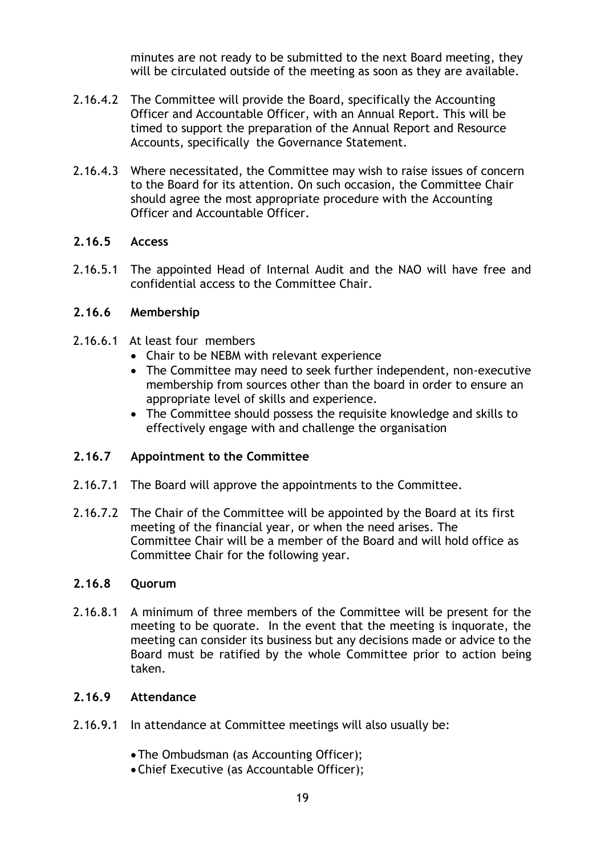minutes are not ready to be submitted to the next Board meeting, they will be circulated outside of the meeting as soon as they are available.

- 2.16.4.2 The Committee will provide the Board, specifically the Accounting Officer and Accountable Officer, with an Annual Report. This will be timed to support the preparation of the Annual Report and Resource Accounts, specifically the Governance Statement.
- 2.16.4.3 Where necessitated, the Committee may wish to raise issues of concern to the Board for its attention. On such occasion, the Committee Chair should agree the most appropriate procedure with the Accounting Officer and Accountable Officer.

#### **2.16.5 Access**

2.16.5.1 The appointed Head of Internal Audit and the NAO will have free and confidential access to the Committee Chair.

#### **2.16.6 Membership**

- 2.16.6.1 At least four members
	- Chair to be NEBM with relevant experience
	- The Committee may need to seek further independent, non-executive membership from sources other than the board in order to ensure an appropriate level of skills and experience.
	- The Committee should possess the requisite knowledge and skills to effectively engage with and challenge the organisation

#### **2.16.7 Appointment to the Committee**

- 2.16.7.1 The Board will approve the appointments to the Committee.
- 2.16.7.2 The Chair of the Committee will be appointed by the Board at its first meeting of the financial year, or when the need arises. The Committee Chair will be a member of the Board and will hold office as Committee Chair for the following year.

#### **2.16.8 Quorum**

2.16.8.1 A minimum of three members of the Committee will be present for the meeting to be quorate. In the event that the meeting is inquorate, the meeting can consider its business but any decisions made or advice to the Board must be ratified by the whole Committee prior to action being taken.

#### **2.16.9 Attendance**

- 2.16.9.1 In attendance at Committee meetings will also usually be:
	- •The Ombudsman (as Accounting Officer);
	- •Chief Executive (as Accountable Officer);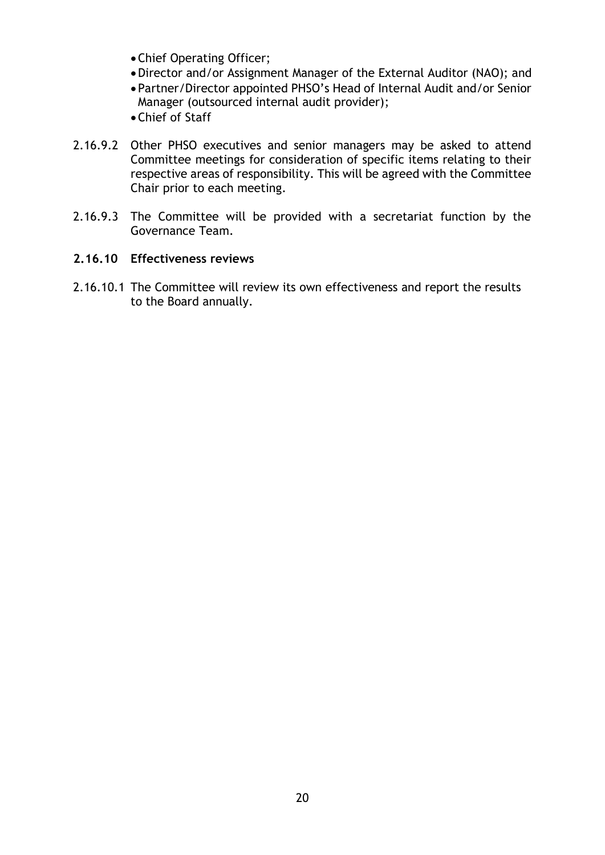- •Chief Operating Officer;
- •Director and/or Assignment Manager of the External Auditor (NAO); and
- Partner/Director appointed PHSO's Head of Internal Audit and/or Senior Manager (outsourced internal audit provider);
- •Chief of Staff
- 2.16.9.2 Other PHSO executives and senior managers may be asked to attend Committee meetings for consideration of specific items relating to their respective areas of responsibility. This will be agreed with the Committee Chair prior to each meeting.
- 2.16.9.3 The Committee will be provided with a secretariat function by the Governance Team.

#### **2.16.10 Effectiveness reviews**

2.16.10.1 The Committee will review its own effectiveness and report the results to the Board annually.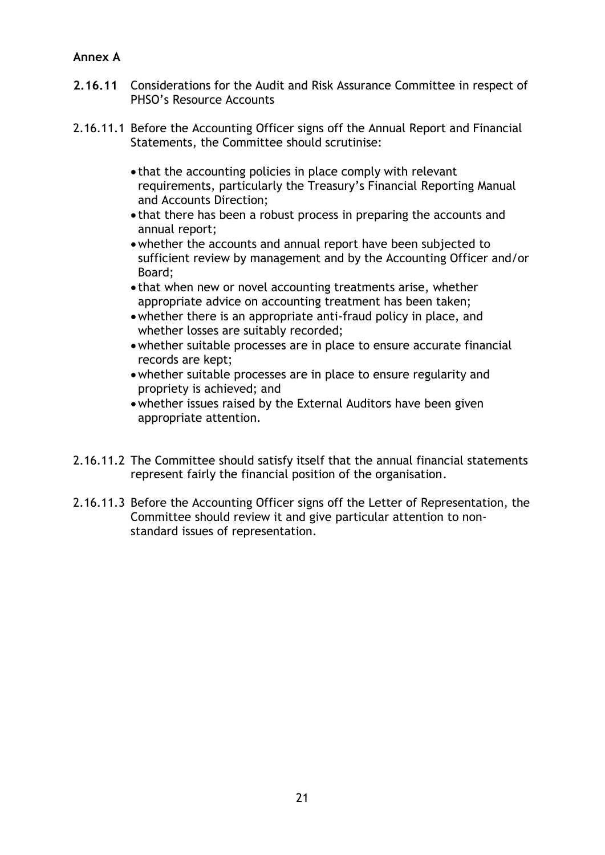# **Annex A**

- **2.16.11** Considerations for the Audit and Risk Assurance Committee in respect of PHSO's Resource Accounts
- 2.16.11.1 Before the Accounting Officer signs off the Annual Report and Financial Statements, the Committee should scrutinise:
	- that the accounting policies in place comply with relevant requirements, particularly the Treasury's Financial Reporting Manual and Accounts Direction;
	- that there has been a robust process in preparing the accounts and annual report;
	- •whether the accounts and annual report have been subjected to sufficient review by management and by the Accounting Officer and/or Board;
	- that when new or novel accounting treatments arise, whether appropriate advice on accounting treatment has been taken;
	- •whether there is an appropriate anti-fraud policy in place, and whether losses are suitably recorded;
	- •whether suitable processes are in place to ensure accurate financial records are kept;
	- •whether suitable processes are in place to ensure regularity and propriety is achieved; and
	- •whether issues raised by the External Auditors have been given appropriate attention.
- 2.16.11.2 The Committee should satisfy itself that the annual financial statements represent fairly the financial position of the organisation.
- 2.16.11.3 Before the Accounting Officer signs off the Letter of Representation, the Committee should review it and give particular attention to nonstandard issues of representation.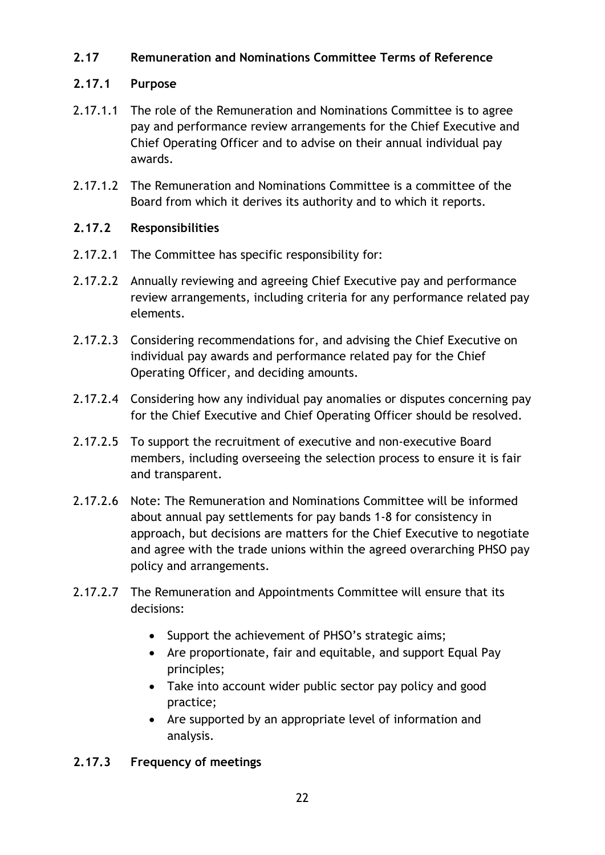# **2.17 Remuneration and Nominations Committee Terms of Reference**

## **2.17.1 Purpose**

- 2.17.1.1 The role of the Remuneration and Nominations Committee is to agree pay and performance review arrangements for the Chief Executive and Chief Operating Officer and to advise on their annual individual pay awards.
- 2.17.1.2 The Remuneration and Nominations Committee is a committee of the Board from which it derives its authority and to which it reports.

# **2.17.2 Responsibilities**

- 2.17.2.1 The Committee has specific responsibility for:
- 2.17.2.2 Annually reviewing and agreeing Chief Executive pay and performance review arrangements, including criteria for any performance related pay elements.
- 2.17.2.3 Considering recommendations for, and advising the Chief Executive on individual pay awards and performance related pay for the Chief Operating Officer, and deciding amounts.
- 2.17.2.4 Considering how any individual pay anomalies or disputes concerning pay for the Chief Executive and Chief Operating Officer should be resolved.
- 2.17.2.5 To support the recruitment of executive and non-executive Board members, including overseeing the selection process to ensure it is fair and transparent.
- 2.17.2.6 Note: The Remuneration and Nominations Committee will be informed about annual pay settlements for pay bands 1-8 for consistency in approach, but decisions are matters for the Chief Executive to negotiate and agree with the trade unions within the agreed overarching PHSO pay policy and arrangements.
- 2.17.2.7 The Remuneration and Appointments Committee will ensure that its decisions:
	- Support the achievement of PHSO's strategic aims;
	- Are proportionate, fair and equitable, and support Equal Pay principles;
	- Take into account wider public sector pay policy and good practice;
	- Are supported by an appropriate level of information and analysis.

# **2.17.3 Frequency of meetings**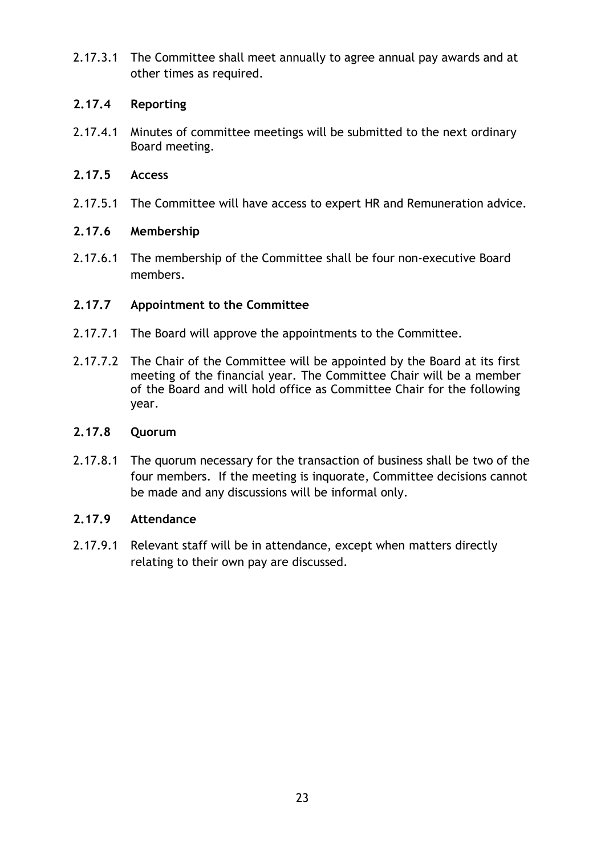2.17.3.1 The Committee shall meet annually to agree annual pay awards and at other times as required.

## **2.17.4 Reporting**

2.17.4.1 Minutes of committee meetings will be submitted to the next ordinary Board meeting.

# **2.17.5 Access**

2.17.5.1 The Committee will have access to expert HR and Remuneration advice.

# **2.17.6 Membership**

2.17.6.1 The membership of the Committee shall be four non-executive Board members.

# **2.17.7 Appointment to the Committee**

- 2.17.7.1 The Board will approve the appointments to the Committee.
- 2.17.7.2 The Chair of the Committee will be appointed by the Board at its first meeting of the financial year. The Committee Chair will be a member of the Board and will hold office as Committee Chair for the following year.

## **2.17.8 Quorum**

2.17.8.1 The quorum necessary for the transaction of business shall be two of the four members. If the meeting is inquorate, Committee decisions cannot be made and any discussions will be informal only.

# **2.17.9 Attendance**

2.17.9.1 Relevant staff will be in attendance, except when matters directly relating to their own pay are discussed.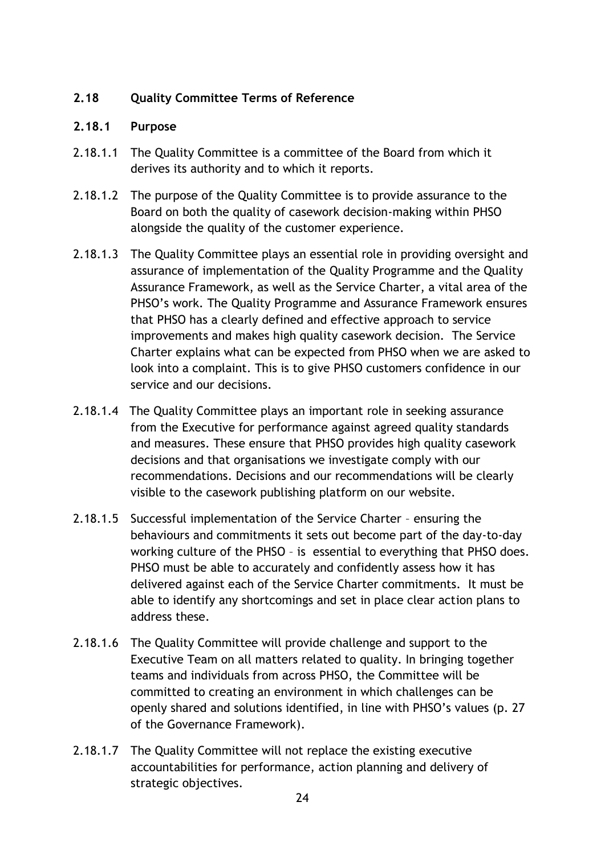# **2.18 Quality Committee Terms of Reference**

#### **2.18.1 Purpose**

- 2.18.1.1 The Quality Committee is a committee of the Board from which it derives its authority and to which it reports.
- 2.18.1.2 The purpose of the Quality Committee is to provide assurance to the Board on both the quality of casework decision-making within PHSO alongside the quality of the customer experience.
- 2.18.1.3 The Quality Committee plays an essential role in providing oversight and assurance of implementation of the Quality Programme and the Quality Assurance Framework, as well as the Service Charter, a vital area of the PHSO's work. The Quality Programme and Assurance Framework ensures that PHSO has a clearly defined and effective approach to service improvements and makes high quality casework decision. The Service Charter explains what can be expected from PHSO when we are asked to look into a complaint. This is to give PHSO customers confidence in our service and our decisions.
- 2.18.1.4 The Quality Committee plays an important role in seeking assurance from the Executive for performance against agreed quality standards and measures. These ensure that PHSO provides high quality casework decisions and that organisations we investigate comply with our recommendations. Decisions and our recommendations will be clearly visible to the casework publishing platform on our website.
- 2.18.1.5 Successful implementation of the Service Charter ensuring the behaviours and commitments it sets out become part of the day-to-day working culture of the PHSO – is essential to everything that PHSO does. PHSO must be able to accurately and confidently assess how it has delivered against each of the Service Charter commitments. It must be able to identify any shortcomings and set in place clear action plans to address these.
- 2.18.1.6 The Quality Committee will provide challenge and support to the Executive Team on all matters related to quality. In bringing together teams and individuals from across PHSO, the Committee will be committed to creating an environment in which challenges can be openly shared and solutions identified, in line with PHSO's values (p. 27 of the Governance Framework).
- 2.18.1.7 The Quality Committee will not replace the existing executive accountabilities for performance, action planning and delivery of strategic objectives.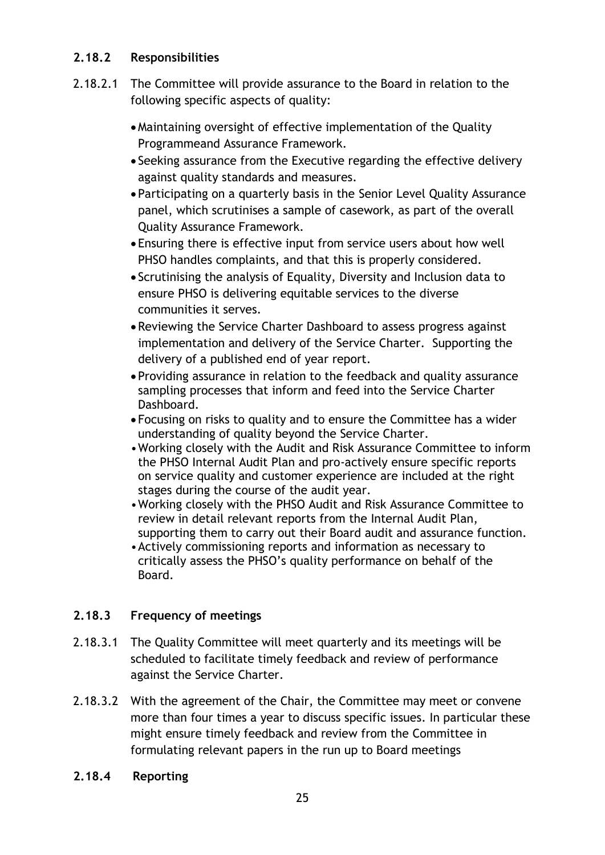# **2.18.2 Responsibilities**

- 2.18.2.1 The Committee will provide assurance to the Board in relation to the following specific aspects of quality:
	- •Maintaining oversight of effective implementation of the Quality Programmeand Assurance Framework.
	- Seeking assurance from the Executive regarding the effective delivery against quality standards and measures.
	- Participating on a quarterly basis in the Senior Level Quality Assurance panel, which scrutinises a sample of casework, as part of the overall Quality Assurance Framework.
	- Ensuring there is effective input from service users about how well PHSO handles complaints, and that this is properly considered.
	- Scrutinising the analysis of Equality, Diversity and Inclusion data to ensure PHSO is delivering equitable services to the diverse communities it serves.
	- •Reviewing the Service Charter Dashboard to assess progress against implementation and delivery of the Service Charter. Supporting the delivery of a published end of year report.
	- Providing assurance in relation to the feedback and quality assurance sampling processes that inform and feed into the Service Charter Dashboard.
	- Focusing on risks to quality and to ensure the Committee has a wider understanding of quality beyond the Service Charter.
	- •Working closely with the Audit and Risk Assurance Committee to inform the PHSO Internal Audit Plan and pro-actively ensure specific reports on service quality and customer experience are included at the right stages during the course of the audit year.
	- •Working closely with the PHSO Audit and Risk Assurance Committee to review in detail relevant reports from the Internal Audit Plan, supporting them to carry out their Board audit and assurance function.
	- •Actively commissioning reports and information as necessary to critically assess the PHSO's quality performance on behalf of the Board.

# **2.18.3 Frequency of meetings**

- 2.18.3.1 The Quality Committee will meet quarterly and its meetings will be scheduled to facilitate timely feedback and review of performance against the Service Charter.
- 2.18.3.2 With the agreement of the Chair, the Committee may meet or convene more than four times a year to discuss specific issues. In particular these might ensure timely feedback and review from the Committee in formulating relevant papers in the run up to Board meetings
- **2.18.4 Reporting**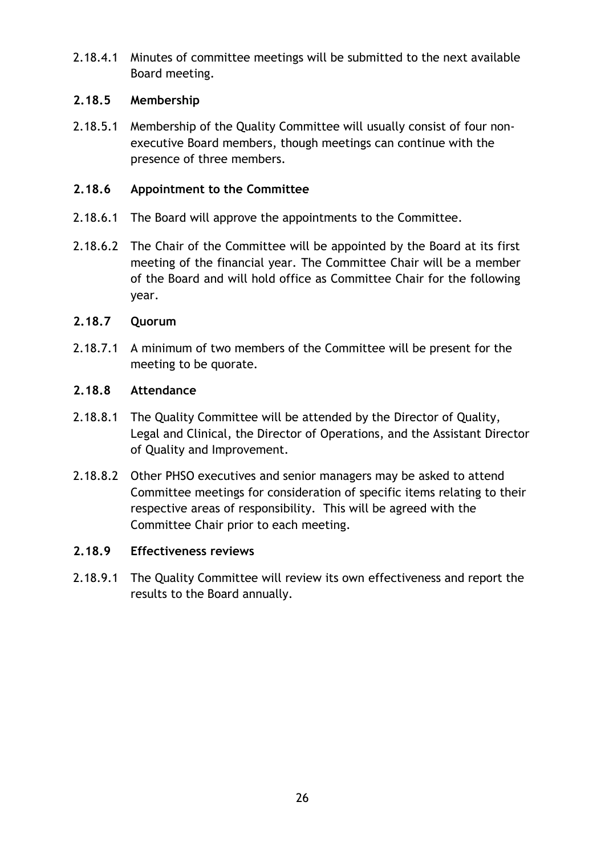2.18.4.1 Minutes of committee meetings will be submitted to the next available Board meeting.

# **2.18.5 Membership**

2.18.5.1 Membership of the Quality Committee will usually consist of four nonexecutive Board members, though meetings can continue with the presence of three members.

# **2.18.6 Appointment to the Committee**

- 2.18.6.1 The Board will approve the appointments to the Committee.
- 2.18.6.2 The Chair of the Committee will be appointed by the Board at its first meeting of the financial year. The Committee Chair will be a member of the Board and will hold office as Committee Chair for the following year.

# **2.18.7 Quorum**

2.18.7.1 A minimum of two members of the Committee will be present for the meeting to be quorate.

# **2.18.8 Attendance**

- 2.18.8.1 The Quality Committee will be attended by the Director of Quality, Legal and Clinical, the Director of Operations, and the Assistant Director of Quality and Improvement.
- 2.18.8.2 Other PHSO executives and senior managers may be asked to attend Committee meetings for consideration of specific items relating to their respective areas of responsibility. This will be agreed with the Committee Chair prior to each meeting.

## **2.18.9 Effectiveness reviews**

2.18.9.1 The Quality Committee will review its own effectiveness and report the results to the Board annually.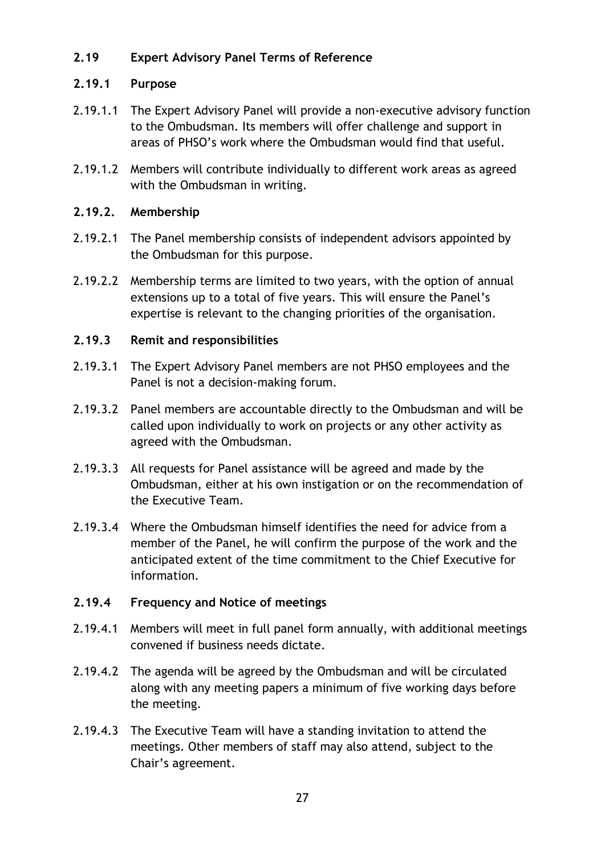# **2.19 Expert Advisory Panel Terms of Reference**

# **2.19.1 Purpose**

- 2.19.1.1 The Expert Advisory Panel will provide a non-executive advisory function to the Ombudsman. Its members will offer challenge and support in areas of PHSO's work where the Ombudsman would find that useful.
- 2.19.1.2 Members will contribute individually to different work areas as agreed with the Ombudsman in writing.

# **2.19.2. Membership**

- 2.19.2.1 The Panel membership consists of independent advisors appointed by the Ombudsman for this purpose.
- 2.19.2.2 Membership terms are limited to two years, with the option of annual extensions up to a total of five years. This will ensure the Panel's expertise is relevant to the changing priorities of the organisation.

# **2.19.3 Remit and responsibilities**

- 2.19.3.1 The Expert Advisory Panel members are not PHSO employees and the Panel is not a decision-making forum.
- 2.19.3.2 Panel members are accountable directly to the Ombudsman and will be called upon individually to work on projects or any other activity as agreed with the Ombudsman.
- 2.19.3.3 All requests for Panel assistance will be agreed and made by the Ombudsman, either at his own instigation or on the recommendation of the Executive Team.
- 2.19.3.4 Where the Ombudsman himself identifies the need for advice from a member of the Panel, he will confirm the purpose of the work and the anticipated extent of the time commitment to the Chief Executive for information.

# **2.19.4 Frequency and Notice of meetings**

- 2.19.4.1 Members will meet in full panel form annually, with additional meetings convened if business needs dictate.
- 2.19.4.2 The agenda will be agreed by the Ombudsman and will be circulated along with any meeting papers a minimum of five working days before the meeting.
- 2.19.4.3 The Executive Team will have a standing invitation to attend the meetings. Other members of staff may also attend, subject to the Chair's agreement.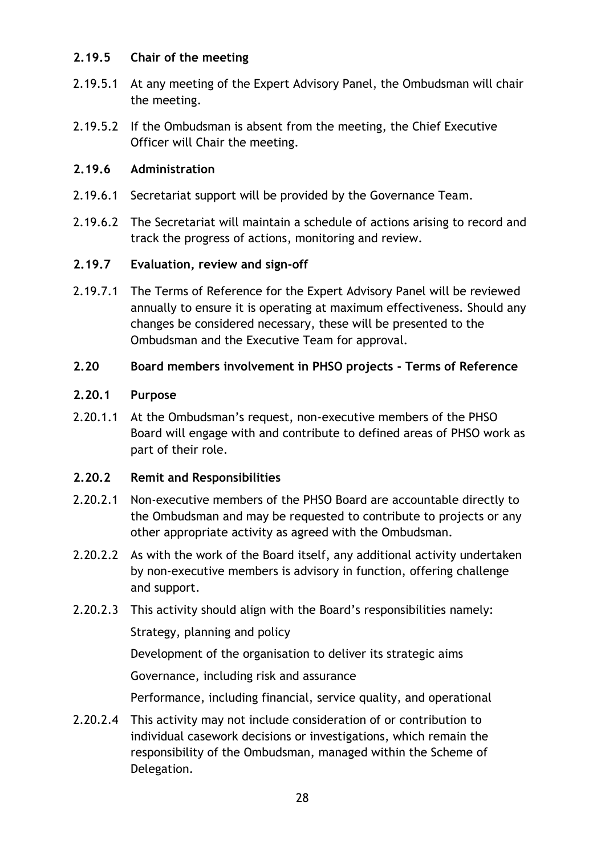# **2.19.5 Chair of the meeting**

- 2.19.5.1 At any meeting of the Expert Advisory Panel, the Ombudsman will chair the meeting.
- 2.19.5.2 If the Ombudsman is absent from the meeting, the Chief Executive Officer will Chair the meeting.

## **2.19.6 Administration**

- 2.19.6.1 Secretariat support will be provided by the Governance Team.
- 2.19.6.2 The Secretariat will maintain a schedule of actions arising to record and track the progress of actions, monitoring and review.

# **2.19.7 Evaluation, review and sign-off**

2.19.7.1 The Terms of Reference for the Expert Advisory Panel will be reviewed annually to ensure it is operating at maximum effectiveness. Should any changes be considered necessary, these will be presented to the Ombudsman and the Executive Team for approval.

## **2.20 Board members involvement in PHSO projects - Terms of Reference**

## **2.20.1 Purpose**

2.20.1.1 At the Ombudsman's request, non-executive members of the PHSO Board will engage with and contribute to defined areas of PHSO work as part of their role.

## **2.20.2 Remit and Responsibilities**

- 2.20.2.1 Non-executive members of the PHSO Board are accountable directly to the Ombudsman and may be requested to contribute to projects or any other appropriate activity as agreed with the Ombudsman.
- 2.20.2.2 As with the work of the Board itself, any additional activity undertaken by non-executive members is advisory in function, offering challenge and support.
- 2.20.2.3 This activity should align with the Board's responsibilities namely:

Strategy, planning and policy

Development of the organisation to deliver its strategic aims

Governance, including risk and assurance

Performance, including financial, service quality, and operational

2.20.2.4 This activity may not include consideration of or contribution to individual casework decisions or investigations, which remain the responsibility of the Ombudsman, managed within the Scheme of Delegation.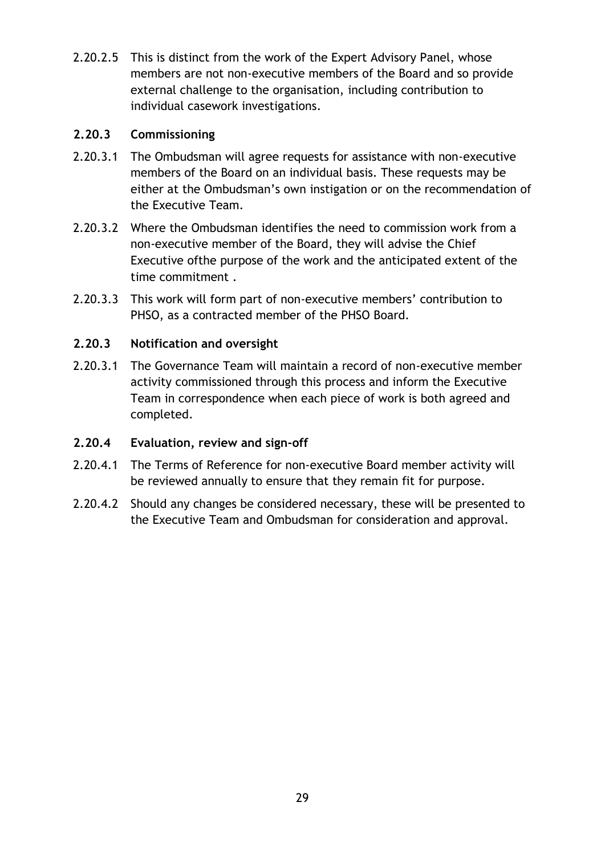2.20.2.5 This is distinct from the work of the Expert Advisory Panel, whose members are not non-executive members of the Board and so provide external challenge to the organisation, including contribution to individual casework investigations.

# **2.20.3 Commissioning**

- 2.20.3.1 The Ombudsman will agree requests for assistance with non-executive members of the Board on an individual basis. These requests may be either at the Ombudsman's own instigation or on the recommendation of the Executive Team.
- 2.20.3.2 Where the Ombudsman identifies the need to commission work from a non-executive member of the Board, they will advise the Chief Executive ofthe purpose of the work and the anticipated extent of the time commitment .
- 2.20.3.3 This work will form part of non-executive members' contribution to PHSO, as a contracted member of the PHSO Board.

# **2.20.3 Notification and oversight**

2.20.3.1 The Governance Team will maintain a record of non-executive member activity commissioned through this process and inform the Executive Team in correspondence when each piece of work is both agreed and completed.

## **2.20.4 Evaluation, review and sign-off**

- 2.20.4.1 The Terms of Reference for non-executive Board member activity will be reviewed annually to ensure that they remain fit for purpose.
- 2.20.4.2 Should any changes be considered necessary, these will be presented to the Executive Team and Ombudsman for consideration and approval.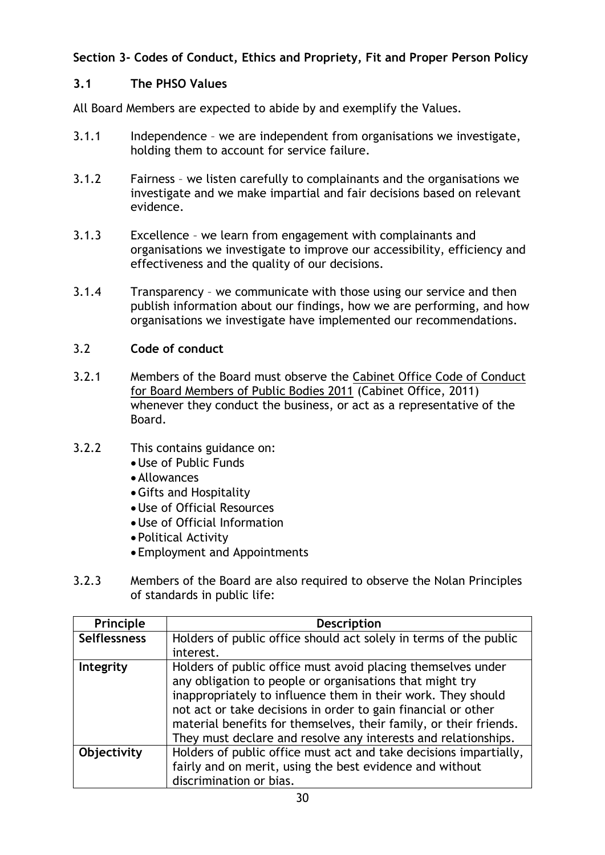# **Section 3- Codes of Conduct, Ethics and Propriety, Fit and Proper Person Policy**

## **3.1 The PHSO Values**

All Board Members are expected to abide by and exemplify the Values.

- 3.1.1 Independence we are independent from organisations we investigate, holding them to account for service failure.
- 3.1.2 Fairness we listen carefully to complainants and the organisations we investigate and we make impartial and fair decisions based on relevant evidence.
- 3.1.3 Excellence we learn from engagement with complainants and organisations we investigate to improve our accessibility, efficiency and effectiveness and the quality of our decisions.
- 3.1.4 Transparency we communicate with those using our service and then publish information about our findings, how we are performing, and how organisations we investigate have implemented our recommendations.

# 3.2 **Code of conduct**

3.2.1 Members of the Board must observe the [Cabinet Office Code of Conduct](http://www.bl.uk/aboutus/governance/blboard/BoardCodeofPractice2011.pdf)  [for Board Members of Public Bodies 2011](http://www.bl.uk/aboutus/governance/blboard/BoardCodeofPractice2011.pdf) (Cabinet Office, 2011) whenever they conduct the business, or act as a representative of the Board.

# 3.2.2 This contains guidance on:

- •Use of Public Funds
- •Allowances
- •Gifts and Hospitality
- •Use of Official Resources
- •Use of Official Information
- Political Activity
- Employment and Appointments
- 3.2.3 Members of the Board are also required to observe the Nolan Principles of standards in public life:

| Principle           | <b>Description</b>                                                |
|---------------------|-------------------------------------------------------------------|
| <b>Selflessness</b> | Holders of public office should act solely in terms of the public |
|                     | interest.                                                         |
| Integrity           | Holders of public office must avoid placing themselves under      |
|                     | any obligation to people or organisations that might try          |
|                     | inappropriately to influence them in their work. They should      |
|                     | not act or take decisions in order to gain financial or other     |
|                     | material benefits for themselves, their family, or their friends. |
|                     | They must declare and resolve any interests and relationships.    |
| Objectivity         | Holders of public office must act and take decisions impartially, |
|                     | fairly and on merit, using the best evidence and without          |
|                     | discrimination or bias.                                           |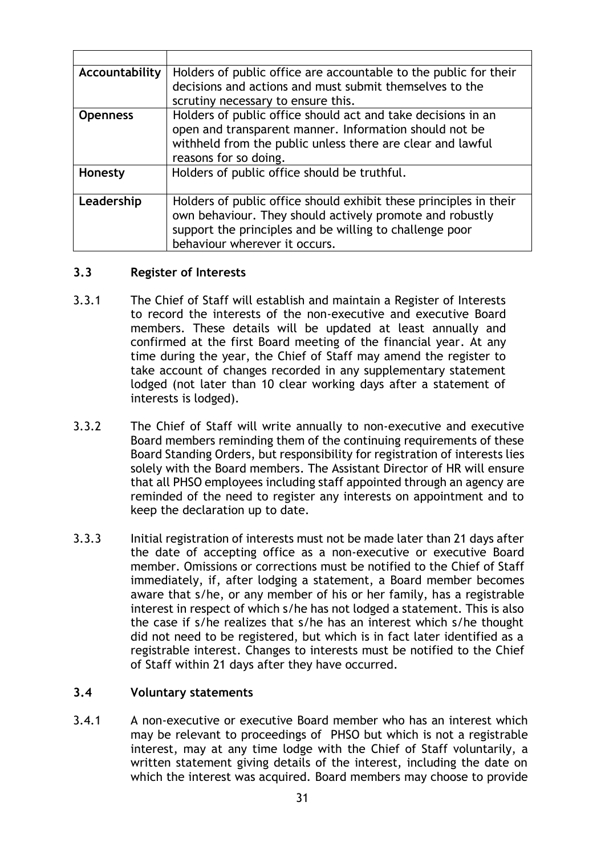| Accountability  | Holders of public office are accountable to the public for their<br>decisions and actions and must submit themselves to the<br>scrutiny necessary to ensure this.                                                         |
|-----------------|---------------------------------------------------------------------------------------------------------------------------------------------------------------------------------------------------------------------------|
| <b>Openness</b> | Holders of public office should act and take decisions in an<br>open and transparent manner. Information should not be<br>withheld from the public unless there are clear and lawful<br>reasons for so doing.             |
| Honesty         | Holders of public office should be truthful.                                                                                                                                                                              |
| Leadership      | Holders of public office should exhibit these principles in their<br>own behaviour. They should actively promote and robustly<br>support the principles and be willing to challenge poor<br>behaviour wherever it occurs. |

#### **3.3 Register of Interests**

- 3.3.1 The Chief of Staff will establish and maintain a Register of Interests to record the interests of the non-executive and executive Board members. These details will be updated at least annually and confirmed at the first Board meeting of the financial year. At any time during the year, the Chief of Staff may amend the register to take account of changes recorded in any supplementary statement lodged (not later than 10 clear working days after a statement of interests is lodged).
- 3.3.2 The Chief of Staff will write annually to non-executive and executive Board members reminding them of the continuing requirements of these Board Standing Orders, but responsibility for registration of interests lies solely with the Board members. The Assistant Director of HR will ensure that all PHSO employees including staff appointed through an agency are reminded of the need to register any interests on appointment and to keep the declaration up to date.
- 3.3.3 Initial registration of interests must not be made later than 21 days after the date of accepting office as a non-executive or executive Board member. Omissions or corrections must be notified to the Chief of Staff immediately, if, after lodging a statement, a Board member becomes aware that s/he, or any member of his or her family, has a registrable interest in respect of which s/he has not lodged a statement. This is also the case if s/he realizes that s/he has an interest which s/he thought did not need to be registered, but which is in fact later identified as a registrable interest. Changes to interests must be notified to the Chief of Staff within 21 days after they have occurred.

## **3.4 Voluntary statements**

3.4.1 A non-executive or executive Board member who has an interest which may be relevant to proceedings of PHSO but which is not a registrable interest, may at any time lodge with the Chief of Staff voluntarily, a written statement giving details of the interest, including the date on which the interest was acquired. Board members may choose to provide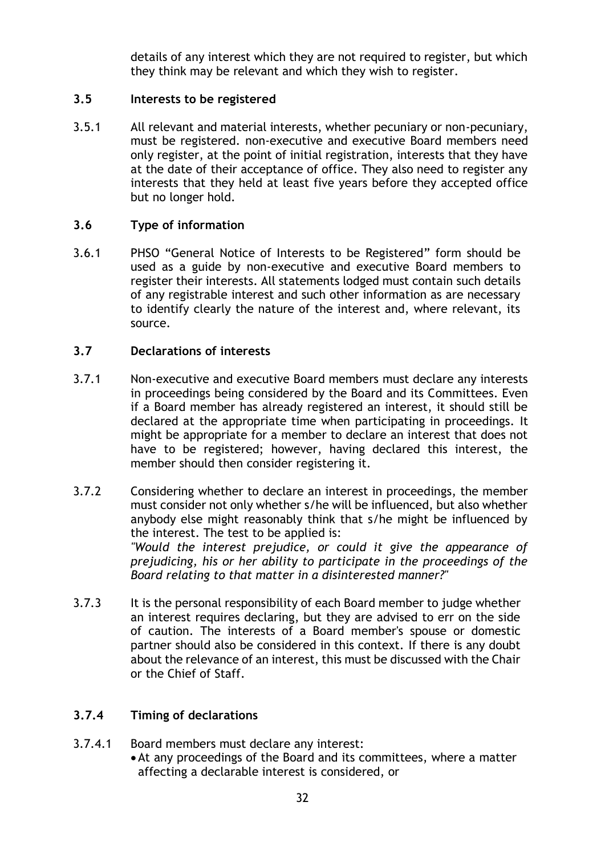details of any interest which they are not required to register, but which they think may be relevant and which they wish to register.

#### **3.5 Interests to be registered**

3.5.1 All relevant and material interests, whether pecuniary or non-pecuniary, must be registered. non-executive and executive Board members need only register, at the point of initial registration, interests that they have at the date of their acceptance of office. They also need to register any interests that they held at least five years before they accepted office but no longer hold.

## **3.6 Type of information**

3.6.1 PHSO "General Notice of Interests to be Registered" form should be used as a guide by non-executive and executive Board members to register their interests. All statements lodged must contain such details of any registrable interest and such other information as are necessary to identify clearly the nature of the interest and, where relevant, its source.

#### **3.7 Declarations of interests**

- 3.7.1 Non-executive and executive Board members must declare any interests in proceedings being considered by the Board and its Committees. Even if a Board member has already registered an interest, it should still be declared at the appropriate time when participating in proceedings. It might be appropriate for a member to declare an interest that does not have to be registered; however, having declared this interest, the member should then consider registering it.
- 3.7.2 Considering whether to declare an interest in proceedings, the member must consider not only whether s/he will be influenced, but also whether anybody else might reasonably think that s/he might be influenced by the interest. The test to be applied is: *"Would the interest prejudice, or could it give the appearance of prejudicing, his or her ability to participate in the proceedings of the Board relating to that matter in a disinterested manner?"*
- 3.7.3 It is the personal responsibility of each Board member to judge whether an interest requires declaring, but they are advised to err on the side of caution. The interests of a Board member's spouse or domestic partner should also be considered in this context. If there is any doubt about the relevance of an interest, this must be discussed with the Chair or the Chief of Staff.

## **3.7.4 Timing of declarations**

- 3.7.4.1 Board members must declare any interest:
	- •At any proceedings of the Board and its committees, where a matter affecting a declarable interest is considered, or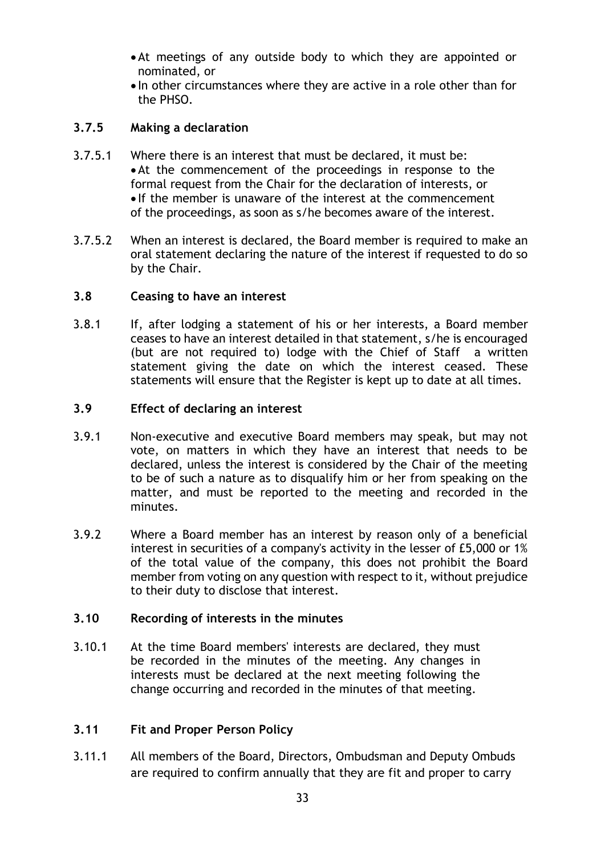- •At meetings of any outside body to which they are appointed or nominated, or
- In other circumstances where they are active in a role other than for the PHSO.

## **3.7.5 Making a declaration**

- 3.7.5.1 Where there is an interest that must be declared, it must be: •At the commencement of the proceedings in response to the formal request from the Chair for the declaration of interests, or • If the member is unaware of the interest at the commencement of the proceedings, as soon as s/he becomes aware of the interest.
- 3.7.5.2 When an interest is declared, the Board member is required to make an oral statement declaring the nature of the interest if requested to do so by the Chair.

#### **3.8 Ceasing to have an interest**

3.8.1 If, after lodging a statement of his or her interests, a Board member ceases to have an interest detailed in that statement, s/he is encouraged (but are not required to) lodge with the Chief of Staff a written statement giving the date on which the interest ceased. These statements will ensure that the Register is kept up to date at all times.

#### **3.9 Effect of declaring an interest**

- 3.9.1 Non-executive and executive Board members may speak, but may not vote, on matters in which they have an interest that needs to be declared, unless the interest is considered by the Chair of the meeting to be of such a nature as to disqualify him or her from speaking on the matter, and must be reported to the meeting and recorded in the minutes.
- 3.9.2 Where a Board member has an interest by reason only of a beneficial interest in securities of a company's activity in the lesser of £5,000 or 1% of the total value of the company, this does not prohibit the Board member from voting on any question with respect to it, without prejudice to their duty to disclose that interest.

## **3.10 Recording of interests in the minutes**

3.10.1 At the time Board members' interests are declared, they must be recorded in the minutes of the meeting. Any changes in interests must be declared at the next meeting following the change occurring and recorded in the minutes of that meeting.

## **3.11 Fit and Proper Person Policy**

3.11.1 All members of the Board, Directors, Ombudsman and Deputy Ombuds are required to confirm annually that they are fit and proper to carry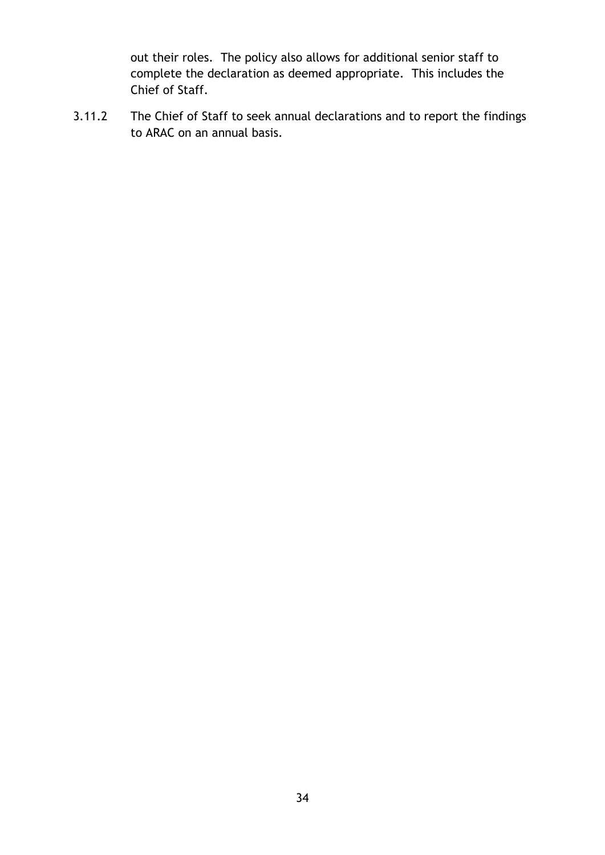out their roles. The policy also allows for additional senior staff to complete the declaration as deemed appropriate. This includes the Chief of Staff.

3.11.2 The Chief of Staff to seek annual declarations and to report the findings to ARAC on an annual basis.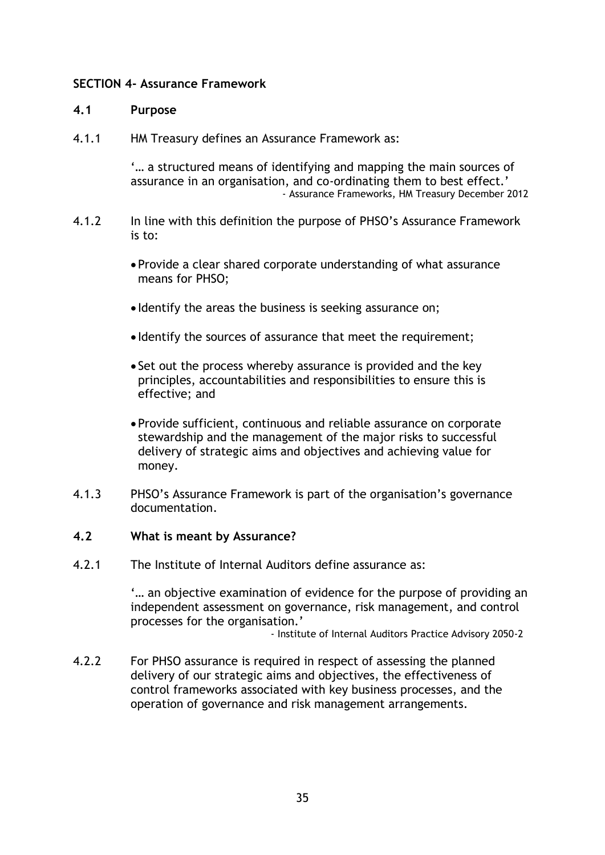#### **SECTION 4- Assurance Framework**

#### **4.1 Purpose**

4.1.1 HM Treasury defines an Assurance Framework as:

'… a structured means of identifying and mapping the main sources of assurance in an organisation, and co-ordinating them to best effect.' - Assurance Frameworks, HM Treasury December 2012

- 4.1.2 In line with this definition the purpose of PHSO's Assurance Framework is to:
	- Provide a clear shared corporate understanding of what assurance means for PHSO;
	- Identify the areas the business is seeking assurance on;
	- Identify the sources of assurance that meet the requirement;
	- Set out the process whereby assurance is provided and the key principles, accountabilities and responsibilities to ensure this is effective; and
	- Provide sufficient, continuous and reliable assurance on corporate stewardship and the management of the major risks to successful delivery of strategic aims and objectives and achieving value for money.
- 4.1.3 PHSO's Assurance Framework is part of the organisation's governance documentation.

#### **4.2 What is meant by Assurance?**

4.2.1 The Institute of Internal Auditors define assurance as:

'… an objective examination of evidence for the purpose of providing an independent assessment on governance, risk management, and control processes for the organisation.'

- Institute of Internal Auditors Practice Advisory 2050-2

4.2.2 For PHSO assurance is required in respect of assessing the planned delivery of our strategic aims and objectives, the effectiveness of control frameworks associated with key business processes, and the operation of governance and risk management arrangements.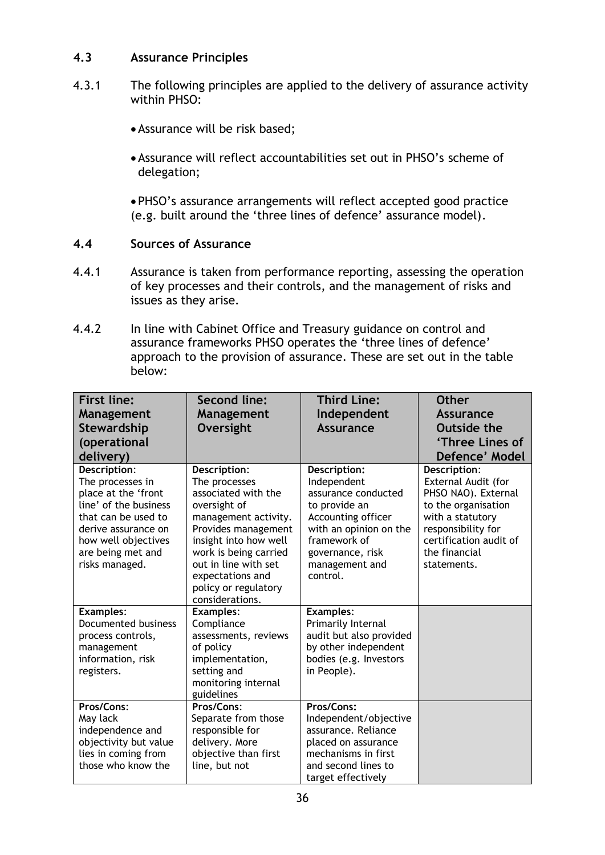## **4.3 Assurance Principles**

- 4.3.1 The following principles are applied to the delivery of assurance activity within PHSO:
	- •Assurance will be risk based;
	- •Assurance will reflect accountabilities set out in PHSO's scheme of delegation;

• PHSO's assurance arrangements will reflect accepted good practice (e.g. built around the 'three lines of defence' assurance model).

## **4.4 Sources of Assurance**

- 4.4.1 Assurance is taken from performance reporting, assessing the operation of key processes and their controls, and the management of risks and issues as they arise.
- 4.4.2 In line with Cabinet Office and Treasury guidance on control and assurance frameworks PHSO operates the 'three lines of defence' approach to the provision of assurance. These are set out in the table below:

| <b>First line:</b><br><b>Management</b><br>Stewardship<br>(operational<br>delivery)                                                                                                          | <b>Second line:</b><br><b>Management</b><br>Oversight                                                                                                                                                                                                        | <b>Third Line:</b><br>Independent<br><b>Assurance</b>                                                                                                                                 | <b>Other</b><br><b>Assurance</b><br><b>Outside the</b><br>'Three Lines of<br>Defence' Model                                                                                           |
|----------------------------------------------------------------------------------------------------------------------------------------------------------------------------------------------|--------------------------------------------------------------------------------------------------------------------------------------------------------------------------------------------------------------------------------------------------------------|---------------------------------------------------------------------------------------------------------------------------------------------------------------------------------------|---------------------------------------------------------------------------------------------------------------------------------------------------------------------------------------|
| Description:<br>The processes in<br>place at the 'front<br>line' of the business<br>that can be used to<br>derive assurance on<br>how well objectives<br>are being met and<br>risks managed. | Description:<br>The processes<br>associated with the<br>oversight of<br>management activity.<br>Provides management<br>insight into how well<br>work is being carried<br>out in line with set<br>expectations and<br>policy or regulatory<br>considerations. | Description:<br>Independent<br>assurance conducted<br>to provide an<br>Accounting officer<br>with an opinion on the<br>framework of<br>governance, risk<br>management and<br>control. | Description:<br>External Audit (for<br>PHSO NAO). External<br>to the organisation<br>with a statutory<br>responsibility for<br>certification audit of<br>the financial<br>statements. |
| <b>Examples:</b><br><b>Documented business</b><br>process controls,<br>management<br>information, risk<br>registers.                                                                         | <b>Examples:</b><br>Compliance<br>assessments, reviews<br>of policy<br>implementation,<br>setting and<br>monitoring internal<br>guidelines                                                                                                                   | <b>Examples:</b><br>Primarily Internal<br>audit but also provided<br>by other independent<br>bodies (e.g. Investors<br>in People).                                                    |                                                                                                                                                                                       |
| Pros/Cons:<br>May lack<br>independence and<br>objectivity but value<br>lies in coming from<br>those who know the                                                                             | Pros/Cons:<br>Separate from those<br>responsible for<br>delivery. More<br>objective than first<br>line, but not                                                                                                                                              | Pros/Cons:<br>Independent/objective<br>assurance. Reliance<br>placed on assurance<br>mechanisms in first<br>and second lines to<br>target effectively                                 |                                                                                                                                                                                       |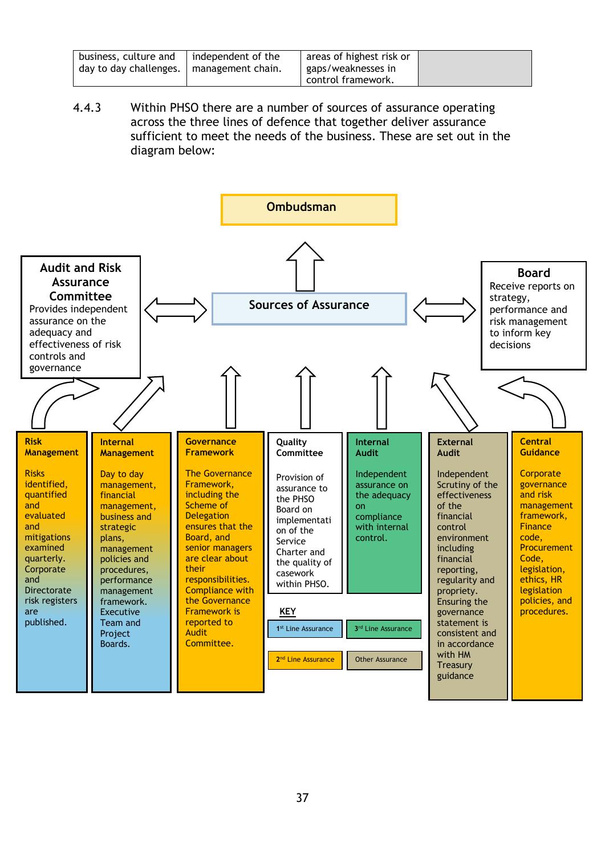| business, culture and                      | independent of the | areas of highest risk or |  |
|--------------------------------------------|--------------------|--------------------------|--|
| day to day challenges.   management chain. |                    | gaps/weaknesses in       |  |
|                                            |                    | control framework.       |  |

4.4.3 Within PHSO there are a number of sources of assurance operating across the three lines of defence that together deliver assurance sufficient to meet the needs of the business. These are set out in the diagram below:

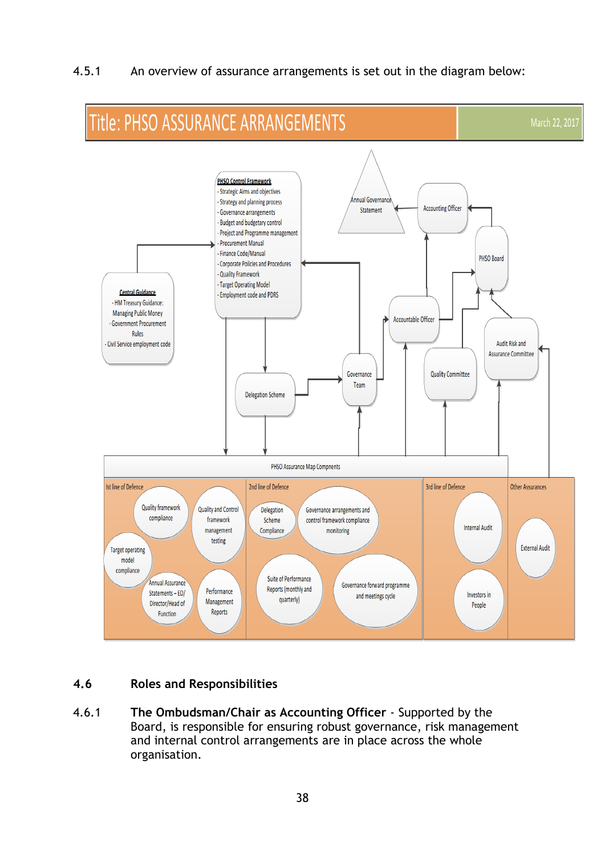4.5.1 An overview of assurance arrangements is set out in the diagram below:



## **4.6 Roles and Responsibilities**

4.6.1 **The Ombudsman/Chair as Accounting Officer** - Supported by the Board, is responsible for ensuring robust governance, risk management and internal control arrangements are in place across the whole organisation.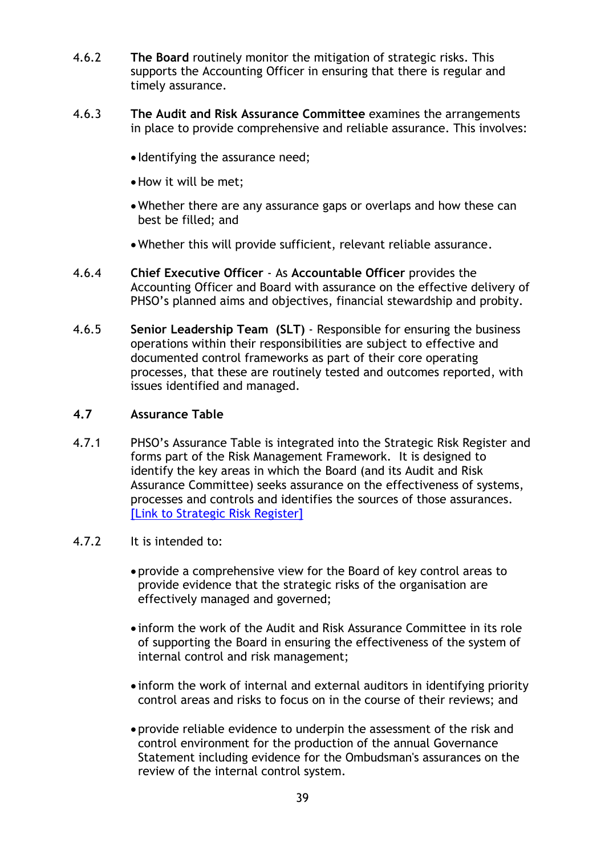- 4.6.2 **The Board** routinely monitor the mitigation of strategic risks. This supports the Accounting Officer in ensuring that there is regular and timely assurance.
- 4.6.3 **The Audit and Risk Assurance Committee** examines the arrangements in place to provide comprehensive and reliable assurance. This involves:
	- Identifying the assurance need;
	- •How it will be met;
	- •Whether there are any assurance gaps or overlaps and how these can best be filled; and
	- •Whether this will provide sufficient, relevant reliable assurance.
- 4.6.4 **Chief Executive Officer** As **Accountable Officer** provides the Accounting Officer and Board with assurance on the effective delivery of PHSO's planned aims and objectives, financial stewardship and probity.
- 4.6.5 **Senior Leadership Team (SLT)**  Responsible for ensuring the business operations within their responsibilities are subject to effective and documented control frameworks as part of their core operating processes, that these are routinely tested and outcomes reported, with issues identified and managed.

#### **4.7 Assurance Table**

- 4.7.1 PHSO's Assurance Table is integrated into the Strategic Risk Register and forms part of the Risk Management Framework. It is designed to identify the key areas in which the Board (and its Audit and Risk Assurance Committee) seeks assurance on the effectiveness of systems, processes and controls and identifies the sources of those assurances. [\[Link to Strategic Risk Register\]](http://sharepoint.opca-hsc.com/sites/gov/cm/Meetings/Audit%20Committee-Restricted/2021-2022/November%202021/4.1%20Strategic%20Risk%20for%20ARAC%20November%202021%20v9%20aa.pptx)
- 4.7.2 It is intended to:
	- provide a comprehensive view for the Board of key control areas to provide evidence that the strategic risks of the organisation are effectively managed and governed;
	- inform the work of the Audit and Risk Assurance Committee in its role of supporting the Board in ensuring the effectiveness of the system of internal control and risk management;
	- inform the work of internal and external auditors in identifying priority control areas and risks to focus on in the course of their reviews; and
	- provide reliable evidence to underpin the assessment of the risk and control environment for the production of the annual Governance Statement including evidence for the Ombudsman's assurances on the review of the internal control system.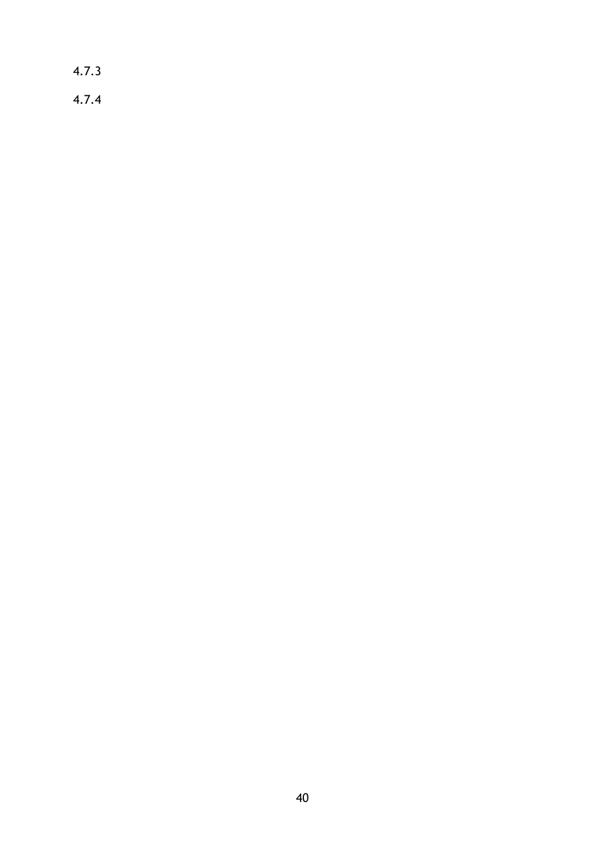4.7.3 4.7.4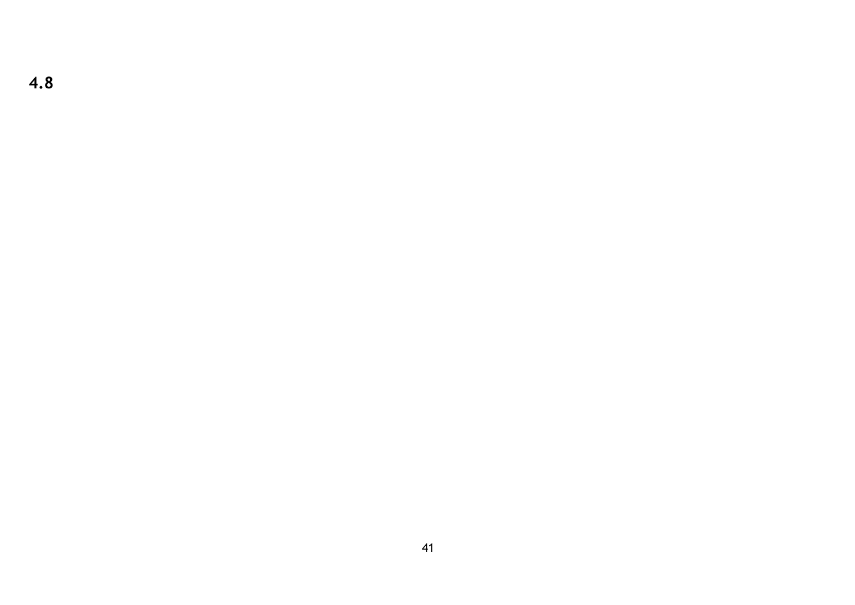**4.8**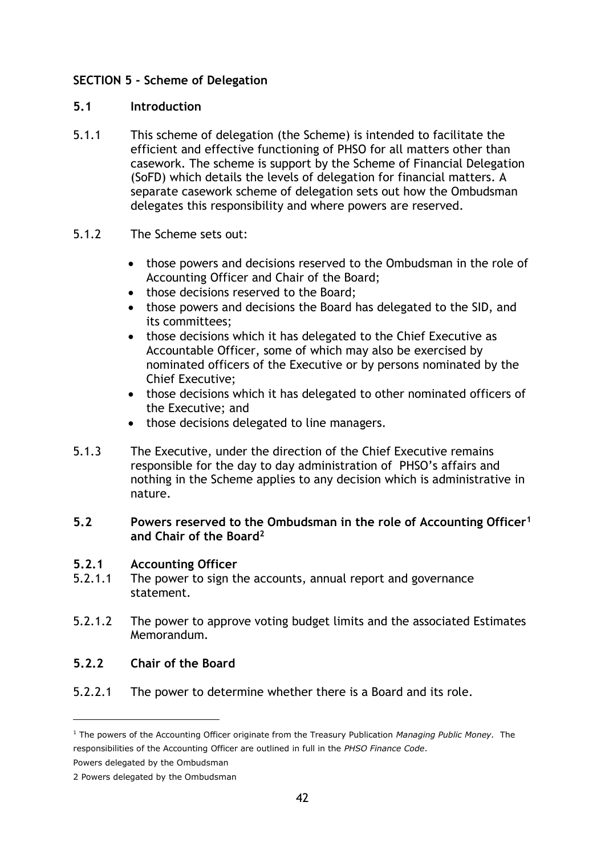## **SECTION 5 - Scheme of Delegation**

#### **5.1 Introduction**

- 5.1.1 This scheme of delegation (the Scheme) is intended to facilitate the efficient and effective functioning of PHSO for all matters other than casework. The scheme is support by the Scheme of Financial Delegation (SoFD) which details the levels of delegation for financial matters. A separate casework scheme of delegation sets out how the Ombudsman delegates this responsibility and where powers are reserved.
- 5.1.2 The Scheme sets out:
	- those powers and decisions reserved to the Ombudsman in the role of Accounting Officer and Chair of the Board;
	- those decisions reserved to the Board;
	- those powers and decisions the Board has delegated to the SID, and its committees;
	- those decisions which it has delegated to the Chief Executive as Accountable Officer, some of which may also be exercised by nominated officers of the Executive or by persons nominated by the Chief Executive;
	- those decisions which it has delegated to other nominated officers of the Executive; and
	- those decisions delegated to line managers.
- 5.1.3 The Executive, under the direction of the Chief Executive remains responsible for the day to day administration of PHSO's affairs and nothing in the Scheme applies to any decision which is administrative in nature.

#### **5.2 Powers reserved to the Ombudsman in the role of Accounting Officer<sup>1</sup> and Chair of the Board<sup>2</sup>**

## **5.2.1 Accounting Officer**

- 5.2.1.1 The power to sign the accounts, annual report and governance statement.
- 5.2.1.2 The power to approve voting budget limits and the associated Estimates Memorandum.

## **5.2.2 Chair of the Board**

5.2.2.1 The power to determine whether there is a Board and its role.

<sup>1</sup> The powers of the Accounting Officer originate from the Treasury Publication *Managing Public Money.* The responsibilities of the Accounting Officer are outlined in full in the *PHSO Finance Code*.

Powers delegated by the Ombudsman

<sup>2</sup> Powers delegated by the Ombudsman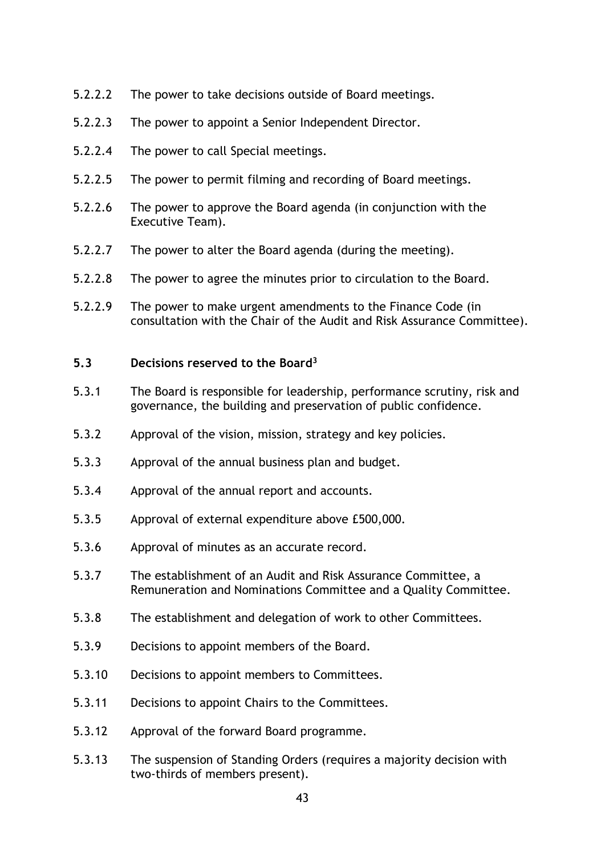- 5.2.2.2 The power to take decisions outside of Board meetings.
- 5.2.2.3 The power to appoint a Senior Independent Director.
- 5.2.2.4 The power to call Special meetings.
- 5.2.2.5 The power to permit filming and recording of Board meetings.
- 5.2.2.6 The power to approve the Board agenda (in conjunction with the Executive Team).
- 5.2.2.7 The power to alter the Board agenda (during the meeting).
- 5.2.2.8 The power to agree the minutes prior to circulation to the Board.
- 5.2.2.9 The power to make urgent amendments to the Finance Code (in consultation with the Chair of the Audit and Risk Assurance Committee).

#### **5.3 Decisions reserved to the Board<sup>3</sup>**

- 5.3.1 The Board is responsible for leadership, performance scrutiny, risk and governance, the building and preservation of public confidence.
- 5.3.2 Approval of the vision, mission, strategy and key policies.
- 5.3.3 Approval of the annual business plan and budget.
- 5.3.4 Approval of the annual report and accounts.
- 5.3.5 Approval of external expenditure above £500,000.
- 5.3.6 Approval of minutes as an accurate record.
- 5.3.7 The establishment of an Audit and Risk Assurance Committee, a Remuneration and Nominations Committee and a Quality Committee.
- 5.3.8 The establishment and delegation of work to other Committees.
- 5.3.9 Decisions to appoint members of the Board.
- 5.3.10 Decisions to appoint members to Committees.
- 5.3.11 Decisions to appoint Chairs to the Committees.
- 5.3.12 Approval of the forward Board programme.
- 5.3.13 The suspension of Standing Orders (requires a majority decision with two-thirds of members present).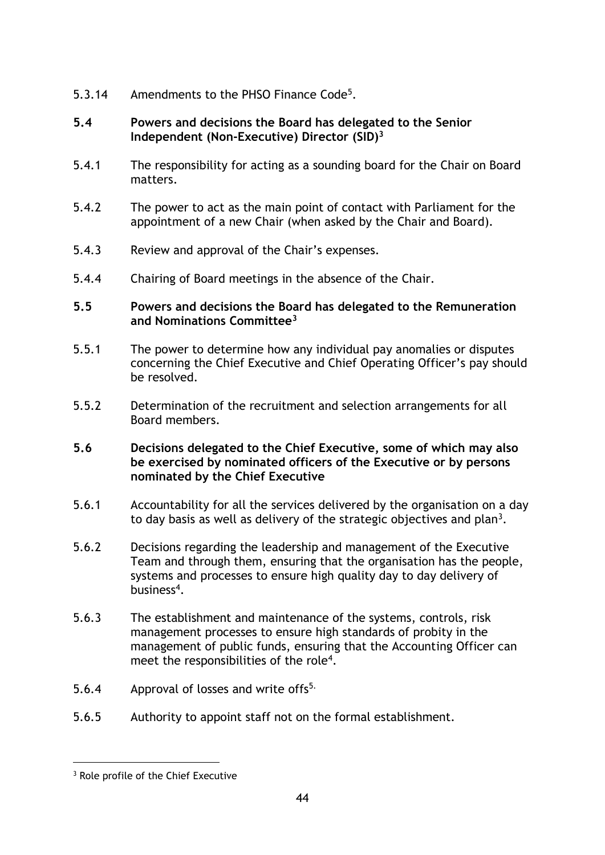- 5.3.14 Amendments to the PHSO Finance Code<sup>5</sup>.
- **5.4 Powers and decisions the Board has delegated to the Senior Independent (Non-Executive) Director (SID)<sup>3</sup>**
- 5.4.1 The responsibility for acting as a sounding board for the Chair on Board matters.
- 5.4.2 The power to act as the main point of contact with Parliament for the appointment of a new Chair (when asked by the Chair and Board).
- 5.4.3 Review and approval of the Chair's expenses.
- 5.4.4 Chairing of Board meetings in the absence of the Chair.

#### **5.5 Powers and decisions the Board has delegated to the Remuneration and Nominations Committee<sup>3</sup>**

- 5.5.1 The power to determine how any individual pay anomalies or disputes concerning the Chief Executive and Chief Operating Officer's pay should be resolved.
- 5.5.2 Determination of the recruitment and selection arrangements for all Board members.

#### **5.6 Decisions delegated to the Chief Executive, some of which may also be exercised by nominated officers of the Executive or by persons nominated by the Chief Executive**

- 5.6.1 Accountability for all the services delivered by the organisation on a day to day basis as well as delivery of the strategic objectives and plan<sup>3</sup>.
- 5.6.2 Decisions regarding the leadership and management of the Executive Team and through them, ensuring that the organisation has the people, systems and processes to ensure high quality day to day delivery of business<sup>4</sup>.
- 5.6.3 The establishment and maintenance of the systems, controls, risk management processes to ensure high standards of probity in the management of public funds, ensuring that the Accounting Officer can meet the responsibilities of the role<sup>4</sup>.
- 5.6.4 Approval of losses and write of  $5^{5}$ .
- 5.6.5 Authority to appoint staff not on the formal establishment.

<sup>&</sup>lt;sup>3</sup> Role profile of the Chief Executive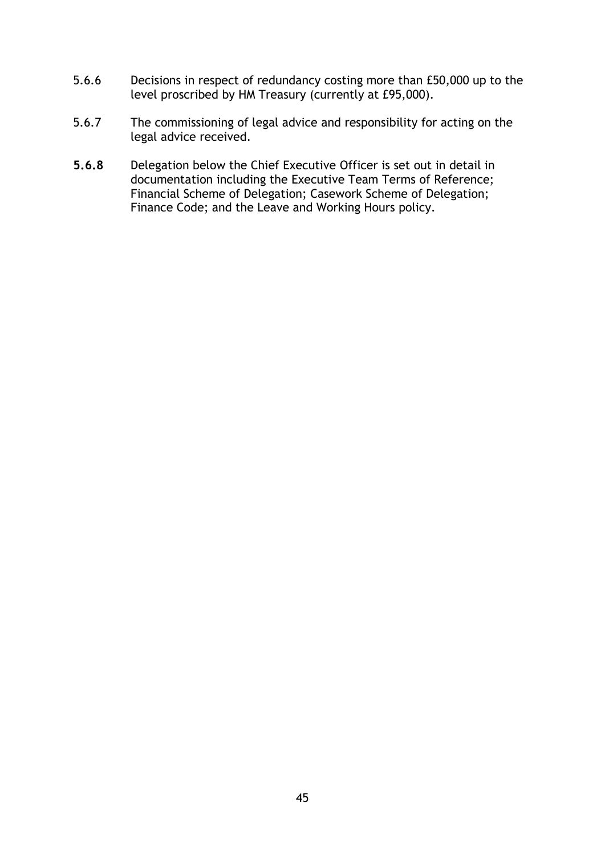- 5.6.6 Decisions in respect of redundancy costing more than £50,000 up to the level proscribed by HM Treasury (currently at £95,000).
- 5.6.7 The commissioning of legal advice and responsibility for acting on the legal advice received.
- **5.6.8** Delegation below the Chief Executive Officer is set out in detail in documentation including the Executive Team Terms of Reference; Financial Scheme of Delegation; Casework Scheme of Delegation; Finance Code; and the Leave and Working Hours policy.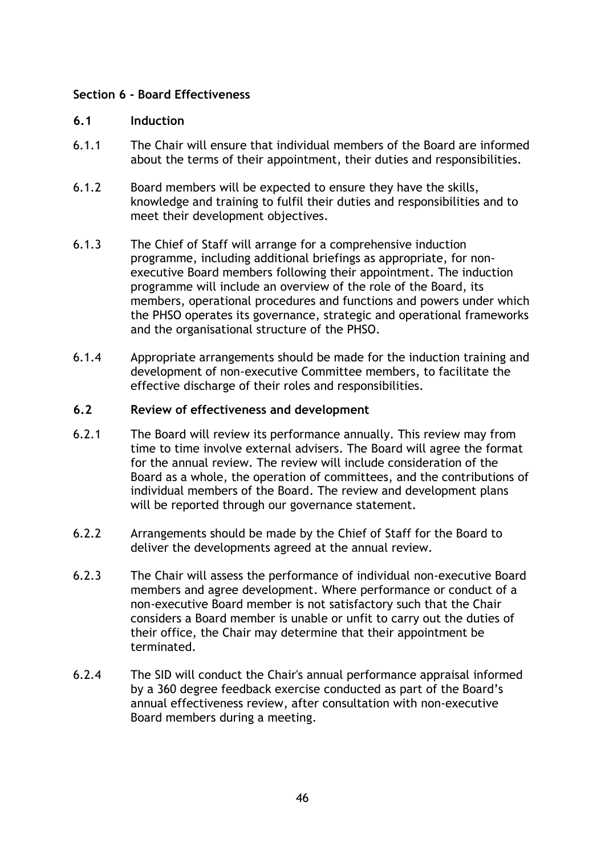#### **Section 6 - Board Effectiveness**

#### **6.1 Induction**

- 6.1.1 The Chair will ensure that individual members of the Board are informed about the terms of their appointment, their duties and responsibilities.
- 6.1.2 Board members will be expected to ensure they have the skills, knowledge and training to fulfil their duties and responsibilities and to meet their development objectives.
- 6.1.3 The Chief of Staff will arrange for a comprehensive induction programme, including additional briefings as appropriate, for nonexecutive Board members following their appointment. The induction programme will include an overview of the role of the Board, its members, operational procedures and functions and powers under which the PHSO operates its governance, strategic and operational frameworks and the organisational structure of the PHSO.
- 6.1.4 Appropriate arrangements should be made for the induction training and development of non-executive Committee members, to facilitate the effective discharge of their roles and responsibilities.

#### **6.2 Review of effectiveness and development**

- 6.2.1 The Board will review its performance annually. This review may from time to time involve external advisers. The Board will agree the format for the annual review. The review will include consideration of the Board as a whole, the operation of committees, and the contributions of individual members of the Board. The review and development plans will be reported through our governance statement.
- 6.2.2 Arrangements should be made by the Chief of Staff for the Board to deliver the developments agreed at the annual review.
- 6.2.3 The Chair will assess the performance of individual non-executive Board members and agree development. Where performance or conduct of a non-executive Board member is not satisfactory such that the Chair considers a Board member is unable or unfit to carry out the duties of their office, the Chair may determine that their appointment be terminated.
- 6.2.4 The SID will conduct the Chair's annual performance appraisal informed by a 360 degree feedback exercise conducted as part of the Board's annual effectiveness review, after consultation with non-executive Board members during a meeting.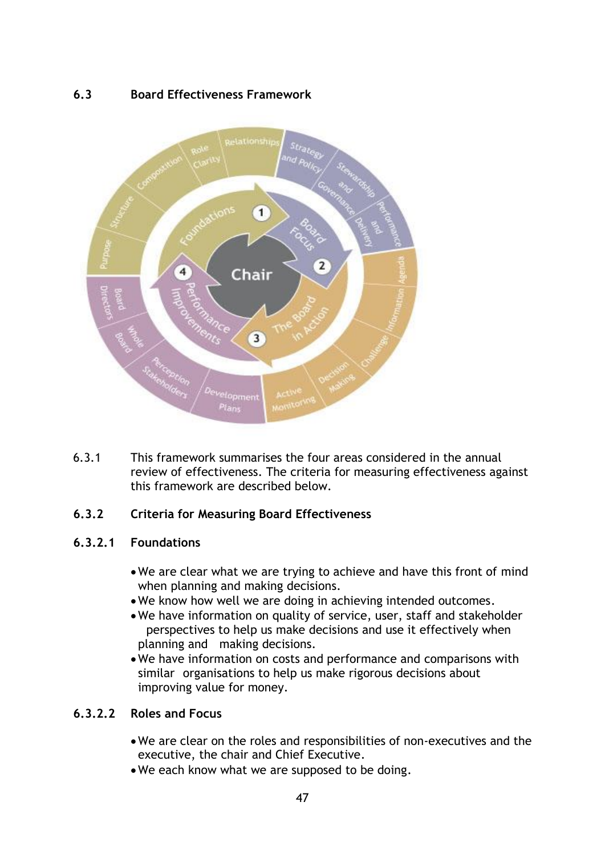## **6.3 Board Effectiveness Framework**



6.3.1 This framework summarises the four areas considered in the annual review of effectiveness. The criteria for measuring effectiveness against this framework are described below.

## **6.3.2 Criteria for Measuring Board Effectiveness**

## **6.3.2.1 Foundations**

- •We are clear what we are trying to achieve and have this front of mind when planning and making decisions.
- •We know how well we are doing in achieving intended outcomes.
- •We have information on quality of service, user, staff and stakeholder perspectives to help us make decisions and use it effectively when planning and making decisions.
- •We have information on costs and performance and comparisons with similar organisations to help us make rigorous decisions about improving value for money.

## **6.3.2.2 Roles and Focus**

- •We are clear on the roles and responsibilities of non-executives and the executive, the chair and Chief Executive.
- •We each know what we are supposed to be doing.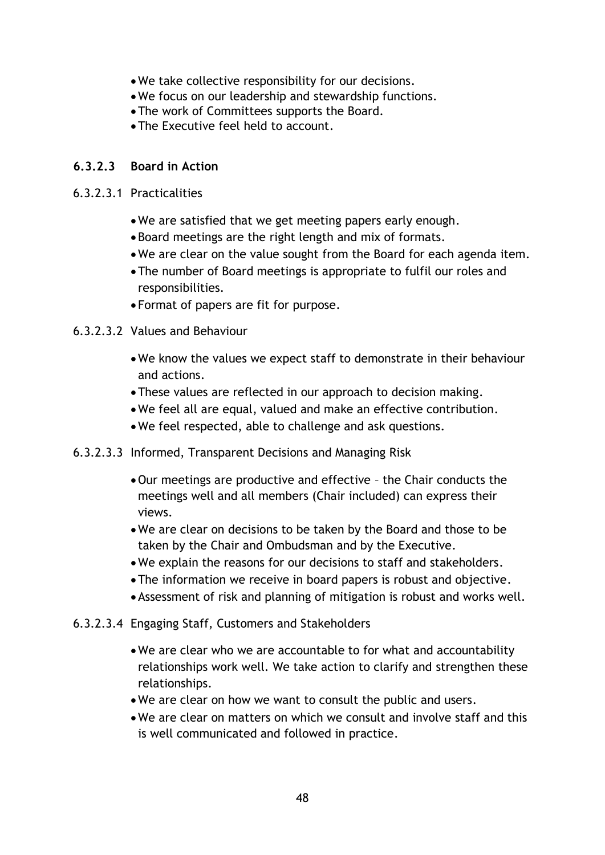- •We take collective responsibility for our decisions.
- •We focus on our leadership and stewardship functions.
- •The work of Committees supports the Board.
- •The Executive feel held to account.

#### **6.3.2.3 Board in Action**

#### 6.3.2.3.1 Practicalities

- •We are satisfied that we get meeting papers early enough.
- •Board meetings are the right length and mix of formats.
- •We are clear on the value sought from the Board for each agenda item.
- •The number of Board meetings is appropriate to fulfil our roles and responsibilities.
- Format of papers are fit for purpose.
- 6.3.2.3.2 Values and Behaviour
	- •We know the values we expect staff to demonstrate in their behaviour and actions.
	- •These values are reflected in our approach to decision making.
	- •We feel all are equal, valued and make an effective contribution.
	- •We feel respected, able to challenge and ask questions.
- 6.3.2.3.3 Informed, Transparent Decisions and Managing Risk
	- •Our meetings are productive and effective the Chair conducts the meetings well and all members (Chair included) can express their views.
	- •We are clear on decisions to be taken by the Board and those to be taken by the Chair and Ombudsman and by the Executive.
	- •We explain the reasons for our decisions to staff and stakeholders.
	- •The information we receive in board papers is robust and objective.
	- •Assessment of risk and planning of mitigation is robust and works well.
- 6.3.2.3.4 Engaging Staff, Customers and Stakeholders
	- •We are clear who we are accountable to for what and accountability relationships work well. We take action to clarify and strengthen these relationships.
	- •We are clear on how we want to consult the public and users.
	- •We are clear on matters on which we consult and involve staff and this is well communicated and followed in practice.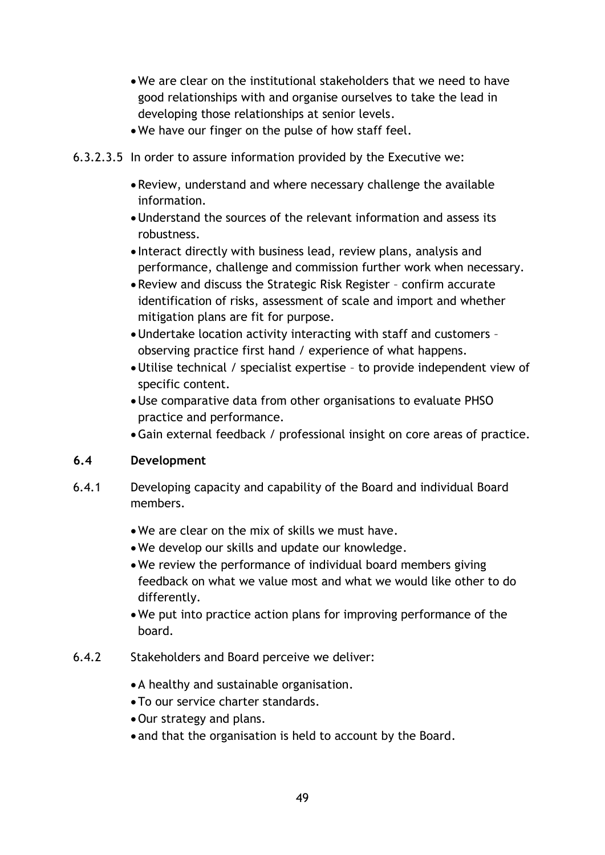- •We are clear on the institutional stakeholders that we need to have good relationships with and organise ourselves to take the lead in developing those relationships at senior levels.
- •We have our finger on the pulse of how staff feel.
- 6.3.2.3.5 In order to assure information provided by the Executive we:
	- •Review, understand and where necessary challenge the available information.
	- •Understand the sources of the relevant information and assess its robustness.
	- Interact directly with business lead, review plans, analysis and performance, challenge and commission further work when necessary.
	- •Review and discuss the Strategic Risk Register confirm accurate identification of risks, assessment of scale and import and whether mitigation plans are fit for purpose.
	- •Undertake location activity interacting with staff and customers observing practice first hand / experience of what happens.
	- •Utilise technical / specialist expertise to provide independent view of specific content.
	- •Use comparative data from other organisations to evaluate PHSO practice and performance.
	- •Gain external feedback / professional insight on core areas of practice.

## **6.4 Development**

- 6.4.1 Developing capacity and capability of the Board and individual Board members.
	- •We are clear on the mix of skills we must have.
	- •We develop our skills and update our knowledge.
	- •We review the performance of individual board members giving feedback on what we value most and what we would like other to do differently.
	- •We put into practice action plans for improving performance of the board.
- 6.4.2 Stakeholders and Board perceive we deliver:
	- •A healthy and sustainable organisation.
	- •To our service charter standards.
	- •Our strategy and plans.
	- and that the organisation is held to account by the Board.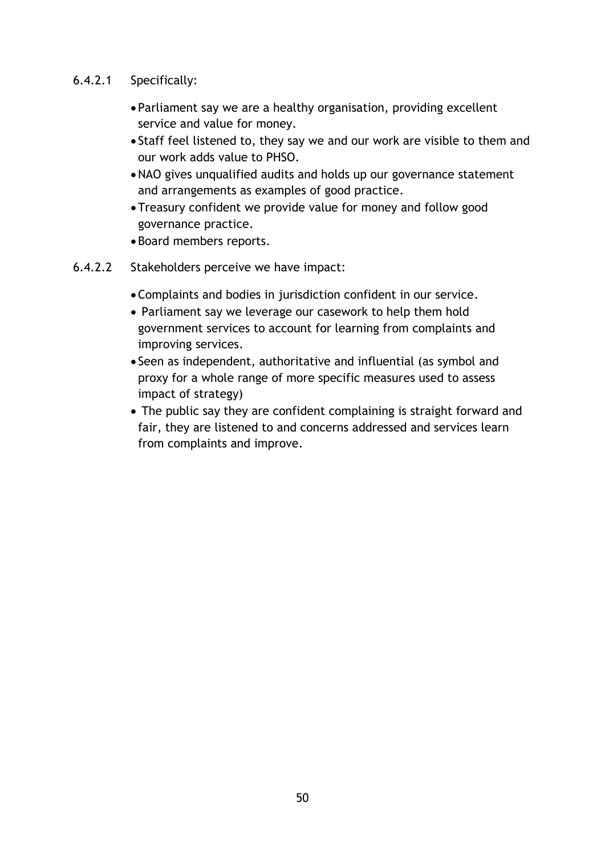#### 6.4.2.1 Specifically:

- Parliament say we are a healthy organisation, providing excellent service and value for money.
- Staff feel listened to, they say we and our work are visible to them and our work adds value to PHSO.
- •NAO gives unqualified audits and holds up our governance statement and arrangements as examples of good practice.
- •Treasury confident we provide value for money and follow good governance practice.
- •Board members reports.
- 6.4.2.2 Stakeholders perceive we have impact:
	- •Complaints and bodies in jurisdiction confident in our service.
	- Parliament say we leverage our casework to help them hold government services to account for learning from complaints and improving services.
	- Seen as independent, authoritative and influential (as symbol and proxy for a whole range of more specific measures used to assess impact of strategy)
	- The public say they are confident complaining is straight forward and fair, they are listened to and concerns addressed and services learn from complaints and improve.